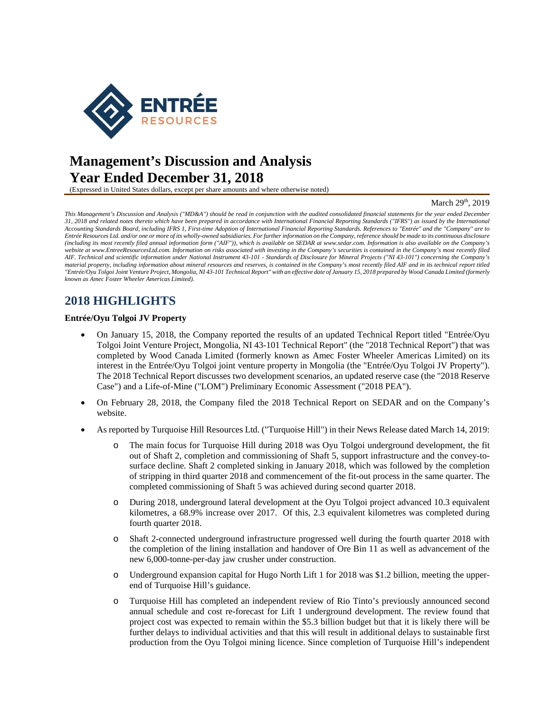

# **Management's Discussion and Analysis Year Ended December 31, 2018**

(Expressed in United States dollars, except per share amounts and where otherwise noted)

#### March 29<sup>th</sup>, 2019

*This Management's Discussion and Analysis ("MD&A") should be read in conjunction with the audited consolidated financial statements for the year ended December 31, 2018 and related notes thereto which have been prepared in accordance with International Financial Reporting Standards ("IFRS") as issued by the International Accounting Standards Board, including IFRS 1, First-time Adoption of International Financial Reporting Standards. References to "Entrée" and the "Company" are to Entrée Resources Ltd. and/or one or more of its wholly-owned subsidiaries. For further information on the Company, reference should be made to its continuous disclosure (including its most recently filed annual information form ("AIF")), which is available on SEDAR at www.sedar.com. Information is also available on the Company's website at www.EntreeResourcesLtd.com. Information on risks associated with investing in the Company's securities is contained in the Company's most recently filed AIF. Technical and scientific information under National Instrument 43-101 - Standards of Disclosure for Mineral Projects ("NI 43-101") concerning the Company's material property, including information about mineral resources and reserves, is contained in the Company's most recently filed AIF and in its technical report titled "Entrée/Oyu Tolgoi Joint Venture Project, Mongolia, NI 43-101 Technical Report" with an effective date of January 15, 2018 prepared by Wood Canada Limited (formerly known as Amec Foster Wheeler Americas Limited).* 

## **2018 HIGHLIGHTS**

## **Entrée/Oyu Tolgoi JV Property**

- On January 15, 2018, the Company reported the results of an updated Technical Report titled "Entrée/Oyu Tolgoi Joint Venture Project, Mongolia, NI 43-101 Technical Report" (the "2018 Technical Report") that was completed by Wood Canada Limited (formerly known as Amec Foster Wheeler Americas Limited) on its interest in the Entrée/Oyu Tolgoi joint venture property in Mongolia (the "Entrée/Oyu Tolgoi JV Property"). The 2018 Technical Report discusses two development scenarios, an updated reserve case (the "2018 Reserve Case") and a Life-of-Mine ("LOM") Preliminary Economic Assessment ("2018 PEA").
- On February 28, 2018, the Company filed the 2018 Technical Report on SEDAR and on the Company's website.
- As reported by Turquoise Hill Resources Ltd. ("Turquoise Hill") in their News Release dated March 14, 2019:
	- The main focus for Turquoise Hill during 2018 was Oyu Tolgoi underground development, the fit out of Shaft 2, completion and commissioning of Shaft 5, support infrastructure and the convey-tosurface decline. Shaft 2 completed sinking in January 2018, which was followed by the completion of stripping in third quarter 2018 and commencement of the fit-out process in the same quarter. The completed commissioning of Shaft 5 was achieved during second quarter 2018.
	- o During 2018, underground lateral development at the Oyu Tolgoi project advanced 10.3 equivalent kilometres, a 68.9% increase over 2017. Of this, 2.3 equivalent kilometres was completed during fourth quarter 2018.
	- o Shaft 2-connected underground infrastructure progressed well during the fourth quarter 2018 with the completion of the lining installation and handover of Ore Bin 11 as well as advancement of the new 6,000-tonne-per-day jaw crusher under construction.
	- o Underground expansion capital for Hugo North Lift 1 for 2018 was \$1.2 billion, meeting the upperend of Turquoise Hill's guidance.
	- o Turquoise Hill has completed an independent review of Rio Tinto's previously announced second annual schedule and cost re-forecast for Lift 1 underground development. The review found that project cost was expected to remain within the \$5.3 billion budget but that it is likely there will be further delays to individual activities and that this will result in additional delays to sustainable first production from the Oyu Tolgoi mining licence. Since completion of Turquoise Hill's independent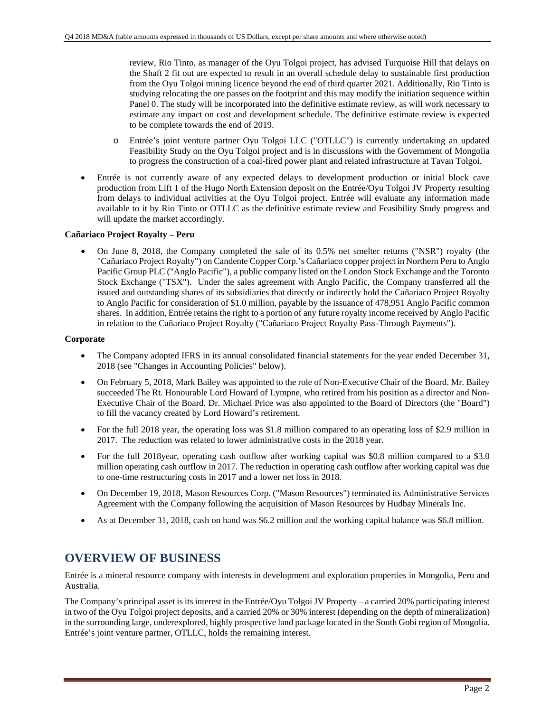review, Rio Tinto, as manager of the Oyu Tolgoi project, has advised Turquoise Hill that delays on the Shaft 2 fit out are expected to result in an overall schedule delay to sustainable first production from the Oyu Tolgoi mining licence beyond the end of third quarter 2021. Additionally, Rio Tinto is studying relocating the ore passes on the footprint and this may modify the initiation sequence within Panel 0. The study will be incorporated into the definitive estimate review, as will work necessary to estimate any impact on cost and development schedule. The definitive estimate review is expected to be complete towards the end of 2019.

- o Entrée's joint venture partner Oyu Tolgoi LLC ("OTLLC") is currently undertaking an updated Feasibility Study on the Oyu Tolgoi project and is in discussions with the Government of Mongolia to progress the construction of a coal-fired power plant and related infrastructure at Tavan Tolgoi.
- Entrée is not currently aware of any expected delays to development production or initial block cave production from Lift 1 of the Hugo North Extension deposit on the Entrée/Oyu Tolgoi JV Property resulting from delays to individual activities at the Oyu Tolgoi project. Entrée will evaluate any information made available to it by Rio Tinto or OTLLC as the definitive estimate review and Feasibility Study progress and will update the market accordingly.

## **Cañariaco Project Royalty – Peru**

 On June 8, 2018, the Company completed the sale of its 0.5% net smelter returns ("NSR") royalty (the "Cañariaco Project Royalty") on Candente Copper Corp.'s Cañariaco copper project in Northern Peru to Anglo Pacific Group PLC ("Anglo Pacific"), a public company listed on the London Stock Exchange and the Toronto Stock Exchange ("TSX"). Under the sales agreement with Anglo Pacific, the Company transferred all the issued and outstanding shares of its subsidiaries that directly or indirectly hold the Cañariaco Project Royalty to Anglo Pacific for consideration of \$1.0 million, payable by the issuance of 478,951 Anglo Pacific common shares. In addition, Entrée retains the right to a portion of any future royalty income received by Anglo Pacific in relation to the Cañariaco Project Royalty ("Cañariaco Project Royalty Pass-Through Payments").

#### **Corporate**

- The Company adopted IFRS in its annual consolidated financial statements for the year ended December 31, 2018 (see "Changes in Accounting Policies" below).
- On February 5, 2018, Mark Bailey was appointed to the role of Non-Executive Chair of the Board. Mr. Bailey succeeded The Rt. Honourable Lord Howard of Lympne, who retired from his position as a director and Non-Executive Chair of the Board. Dr. Michael Price was also appointed to the Board of Directors (the "Board") to fill the vacancy created by Lord Howard's retirement.
- For the full 2018 year, the operating loss was \$1.8 million compared to an operating loss of \$2.9 million in 2017. The reduction was related to lower administrative costs in the 2018 year.
- For the full 2018year, operating cash outflow after working capital was \$0.8 million compared to a \$3.0 million operating cash outflow in 2017. The reduction in operating cash outflow after working capital was due to one-time restructuring costs in 2017 and a lower net loss in 2018.
- On December 19, 2018, Mason Resources Corp. ("Mason Resources") terminated its Administrative Services Agreement with the Company following the acquisition of Mason Resources by Hudbay Minerals Inc.
- As at December 31, 2018, cash on hand was \$6.2 million and the working capital balance was \$6.8 million.

## **OVERVIEW OF BUSINESS**

Entrée is a mineral resource company with interests in development and exploration properties in Mongolia, Peru and Australia.

The Company's principal asset is its interest in the Entrée/Oyu Tolgoi JV Property – a carried 20% participating interest in two of the Oyu Tolgoi project deposits, and a carried 20% or 30% interest (depending on the depth of mineralization) in the surrounding large, underexplored, highly prospective land package located in the South Gobi region of Mongolia. Entrée's joint venture partner, OTLLC, holds the remaining interest.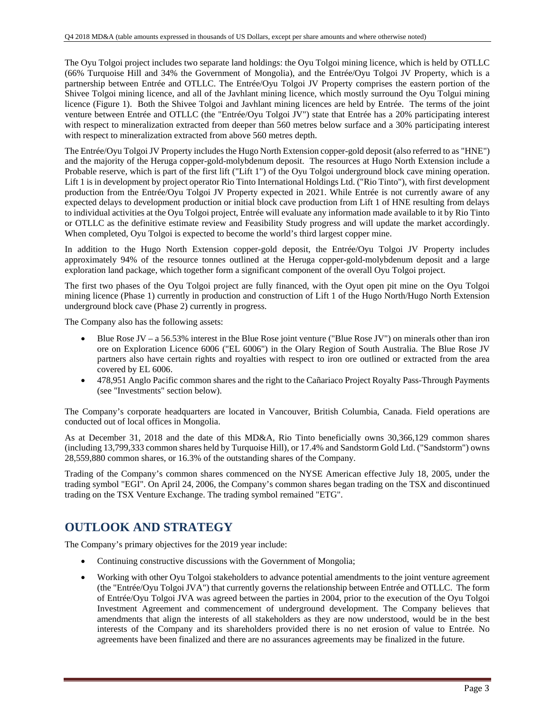The Oyu Tolgoi project includes two separate land holdings: the Oyu Tolgoi mining licence, which is held by OTLLC (66% Turquoise Hill and 34% the Government of Mongolia), and the Entrée/Oyu Tolgoi JV Property, which is a partnership between Entrée and OTLLC. The Entrée/Oyu Tolgoi JV Property comprises the eastern portion of the Shivee Tolgoi mining licence, and all of the Javhlant mining licence, which mostly surround the Oyu Tolgui mining licence (Figure 1). Both the Shivee Tolgoi and Javhlant mining licences are held by Entrée. The terms of the joint venture between Entrée and OTLLC (the "Entrée/Oyu Tolgoi JV") state that Entrée has a 20% participating interest with respect to mineralization extracted from deeper than 560 metres below surface and a 30% participating interest with respect to mineralization extracted from above 560 metres depth.

The Entrée/Oyu Tolgoi JV Property includes the Hugo North Extension copper-gold deposit (also referred to as "HNE") and the majority of the Heruga copper-gold-molybdenum deposit. The resources at Hugo North Extension include a Probable reserve, which is part of the first lift ("Lift 1") of the Oyu Tolgoi underground block cave mining operation. Lift 1 is in development by project operator Rio Tinto International Holdings Ltd. ("Rio Tinto"), with first development production from the Entrée/Oyu Tolgoi JV Property expected in 2021. While Entrée is not currently aware of any expected delays to development production or initial block cave production from Lift 1 of HNE resulting from delays to individual activities at the Oyu Tolgoi project, Entrée will evaluate any information made available to it by Rio Tinto or OTLLC as the definitive estimate review and Feasibility Study progress and will update the market accordingly. When completed, Oyu Tolgoi is expected to become the world's third largest copper mine.

In addition to the Hugo North Extension copper-gold deposit, the Entrée/Oyu Tolgoi JV Property includes approximately 94% of the resource tonnes outlined at the Heruga copper-gold-molybdenum deposit and a large exploration land package, which together form a significant component of the overall Oyu Tolgoi project.

The first two phases of the Oyu Tolgoi project are fully financed, with the Oyut open pit mine on the Oyu Tolgoi mining licence (Phase 1) currently in production and construction of Lift 1 of the Hugo North/Hugo North Extension underground block cave (Phase 2) currently in progress.

The Company also has the following assets:

- Blue Rose JV a 56.53% interest in the Blue Rose joint venture ("Blue Rose JV") on minerals other than iron ore on Exploration Licence 6006 ("EL 6006") in the Olary Region of South Australia. The Blue Rose JV partners also have certain rights and royalties with respect to iron ore outlined or extracted from the area covered by EL 6006.
- 478,951 Anglo Pacific common shares and the right to the Cañariaco Project Royalty Pass-Through Payments (see "Investments" section below).

The Company's corporate headquarters are located in Vancouver, British Columbia, Canada. Field operations are conducted out of local offices in Mongolia.

As at December 31, 2018 and the date of this MD&A, Rio Tinto beneficially owns 30,366,129 common shares (including 13,799,333 common shares held by Turquoise Hill), or 17.4% and Sandstorm Gold Ltd. ("Sandstorm") owns 28,559,880 common shares, or 16.3% of the outstanding shares of the Company.

Trading of the Company's common shares commenced on the NYSE American effective July 18, 2005, under the trading symbol "EGI". On April 24, 2006, the Company's common shares began trading on the TSX and discontinued trading on the TSX Venture Exchange. The trading symbol remained "ETG".

# **OUTLOOK AND STRATEGY**

The Company's primary objectives for the 2019 year include:

- Continuing constructive discussions with the Government of Mongolia;
- Working with other Oyu Tolgoi stakeholders to advance potential amendments to the joint venture agreement (the "Entrée/Oyu Tolgoi JVA") that currently governs the relationship between Entrée and OTLLC. The form of Entrée/Oyu Tolgoi JVA was agreed between the parties in 2004, prior to the execution of the Oyu Tolgoi Investment Agreement and commencement of underground development. The Company believes that amendments that align the interests of all stakeholders as they are now understood, would be in the best interests of the Company and its shareholders provided there is no net erosion of value to Entrée. No agreements have been finalized and there are no assurances agreements may be finalized in the future.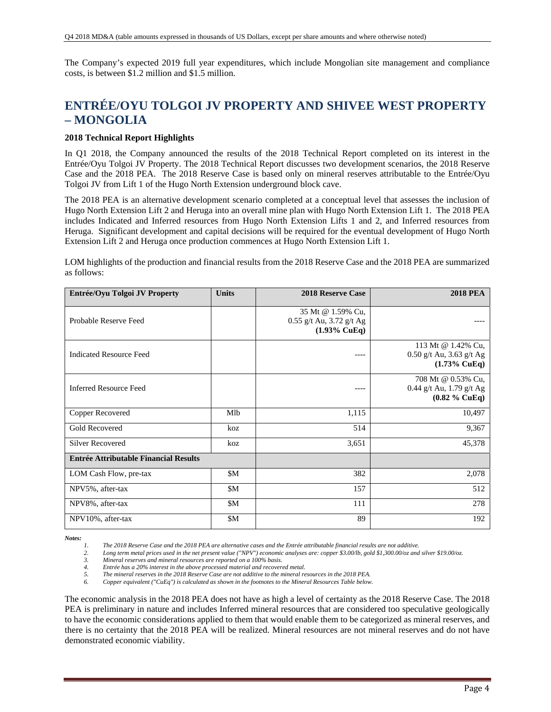The Company's expected 2019 full year expenditures, which include Mongolian site management and compliance costs, is between \$1.2 million and \$1.5 million.

# **ENTRÉE/OYU TOLGOI JV PROPERTY AND SHIVEE WEST PROPERTY – MONGOLIA**

## **2018 Technical Report Highlights**

In Q1 2018, the Company announced the results of the 2018 Technical Report completed on its interest in the Entrée/Oyu Tolgoi JV Property. The 2018 Technical Report discusses two development scenarios, the 2018 Reserve Case and the 2018 PEA. The 2018 Reserve Case is based only on mineral reserves attributable to the Entrée/Oyu Tolgoi JV from Lift 1 of the Hugo North Extension underground block cave.

The 2018 PEA is an alternative development scenario completed at a conceptual level that assesses the inclusion of Hugo North Extension Lift 2 and Heruga into an overall mine plan with Hugo North Extension Lift 1. The 2018 PEA includes Indicated and Inferred resources from Hugo North Extension Lifts 1 and 2, and Inferred resources from Heruga. Significant development and capital decisions will be required for the eventual development of Hugo North Extension Lift 2 and Heruga once production commences at Hugo North Extension Lift 1.

LOM highlights of the production and financial results from the 2018 Reserve Case and the 2018 PEA are summarized as follows:

| Entrée/Oyu Tolgoi JV Property                | <b>Units</b> | 2018 Reserve Case                                                          | <b>2018 PEA</b>                                                             |
|----------------------------------------------|--------------|----------------------------------------------------------------------------|-----------------------------------------------------------------------------|
| Probable Reserve Feed                        |              | 35 Mt @ 1.59% Cu,<br>$0.55$ g/t Au, 3.72 g/t Ag<br>$(1.93\% \text{ CuEq})$ |                                                                             |
| <b>Indicated Resource Feed</b>               |              |                                                                            | 113 Mt @ 1.42% Cu,<br>$0.50$ g/t Au, 3.63 g/t Ag<br>$(1.73\% \text{ CuEq})$ |
| <b>Inferred Resource Feed</b>                |              | ----                                                                       | 708 Mt @ 0.53% Cu,<br>0.44 g/t Au, 1.79 g/t Ag<br>$(0.82 \%$ CuEq)          |
| Copper Recovered                             | Mlb          | 1,115                                                                      | 10,497                                                                      |
| <b>Gold Recovered</b>                        | koz          | 514                                                                        | 9,367                                                                       |
| <b>Silver Recovered</b>                      | koz          | 3,651                                                                      | 45,378                                                                      |
| <b>Entrée Attributable Financial Results</b> |              |                                                                            |                                                                             |
| LOM Cash Flow, pre-tax                       | \$M          | 382                                                                        | 2,078                                                                       |
| NPV5%, after-tax                             | \$M          | 157                                                                        | 512                                                                         |
| NPV8%, after-tax                             | \$M          | 111                                                                        | 278                                                                         |
| NPV10%, after-tax                            | \$M          | 89                                                                         | 192                                                                         |

*Notes:* 

*1. The 2018 Reserve Case and the 2018 PEA are alternative cases and the Entrée attributable financial results are not additive.* 

Long term metal prices used in the net present value ("NPV") economic analyses are: copper \$3.00/lb, gold \$1,300.00/oz and silver \$19.00/oz.

*5. The mineral reserves in the 2018 Reserve Case are not additive to the mineral resources in the 2018 PEA.* 

*6. Copper equivalent ("CuEq") is calculated as shown in the footnotes to the Mineral Resources Table below.* 

The economic analysis in the 2018 PEA does not have as high a level of certainty as the 2018 Reserve Case. The 2018 PEA is preliminary in nature and includes Inferred mineral resources that are considered too speculative geologically to have the economic considerations applied to them that would enable them to be categorized as mineral reserves, and there is no certainty that the 2018 PEA will be realized. Mineral resources are not mineral reserves and do not have demonstrated economic viability.

*<sup>3.</sup> Mineral reserves and mineral resources are reported on a 100% basis.* 

*<sup>4.</sup> Entrée has a 20% interest in the above processed material and recovered metal.*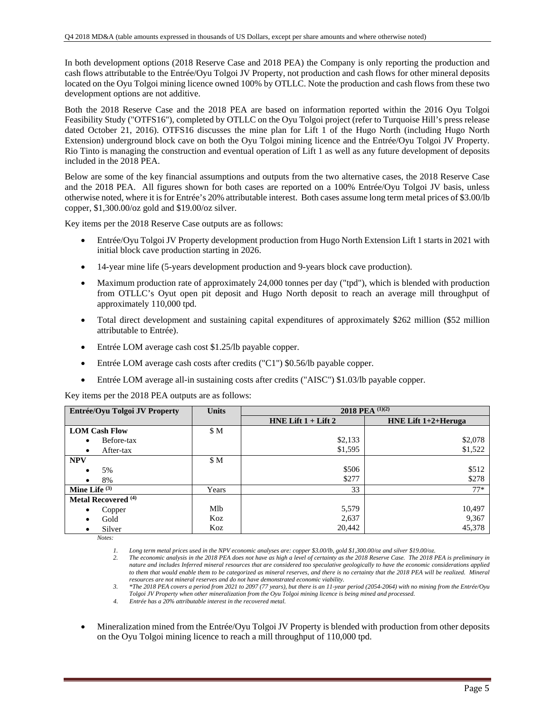In both development options (2018 Reserve Case and 2018 PEA) the Company is only reporting the production and cash flows attributable to the Entrée/Oyu Tolgoi JV Property, not production and cash flows for other mineral deposits located on the Oyu Tolgoi mining licence owned 100% by OTLLC. Note the production and cash flows from these two development options are not additive.

Both the 2018 Reserve Case and the 2018 PEA are based on information reported within the 2016 Oyu Tolgoi Feasibility Study ("OTFS16"), completed by OTLLC on the Oyu Tolgoi project (refer to Turquoise Hill's press release dated October 21, 2016). OTFS16 discusses the mine plan for Lift 1 of the Hugo North (including Hugo North Extension) underground block cave on both the Oyu Tolgoi mining licence and the Entrée/Oyu Tolgoi JV Property. Rio Tinto is managing the construction and eventual operation of Lift 1 as well as any future development of deposits included in the 2018 PEA.

Below are some of the key financial assumptions and outputs from the two alternative cases, the 2018 Reserve Case and the 2018 PEA. All figures shown for both cases are reported on a 100% Entrée/Oyu Tolgoi JV basis, unless otherwise noted, where it is for Entrée's 20% attributable interest. Both cases assume long term metal prices of \$3.00/lb copper, \$1,300.00/oz gold and \$19.00/oz silver.

Key items per the 2018 Reserve Case outputs are as follows:

- Entrée/Oyu Tolgoi JV Property development production from Hugo North Extension Lift 1 starts in 2021 with initial block cave production starting in 2026.
- 14-year mine life (5-years development production and 9-years block cave production).
- Maximum production rate of approximately 24,000 tonnes per day ("tpd"), which is blended with production from OTLLC's Oyut open pit deposit and Hugo North deposit to reach an average mill throughput of approximately 110,000 tpd.
- Total direct development and sustaining capital expenditures of approximately \$262 million (\$52 million attributable to Entrée).
- Entrée LOM average cash cost \$1.25/lb payable copper.
- Entrée LOM average cash costs after credits ("C1") \$0.56/lb payable copper.
- Entrée LOM average all-in sustaining costs after credits ("AISC") \$1.03/lb payable copper.

Key items per the 2018 PEA outputs are as follows:

| Entrée/Oyu Tolgoi JV Property  | <b>Units</b> | 2018 PEA $(1)(2)$       |                        |  |  |  |
|--------------------------------|--------------|-------------------------|------------------------|--|--|--|
|                                |              | HNE Lift $1 +$ Lift $2$ | HNE Lift $1+2+$ Heruga |  |  |  |
| <b>LOM Cash Flow</b>           | \$M          |                         |                        |  |  |  |
| Before-tax                     |              | \$2,133                 | \$2,078                |  |  |  |
| After-tax                      |              | \$1,595                 | \$1,522                |  |  |  |
| <b>NPV</b>                     | \$M          |                         |                        |  |  |  |
| 5%                             |              | \$506                   | \$512                  |  |  |  |
| 8%                             |              | \$277                   | \$278                  |  |  |  |
| Mine Life $(3)$                | Years        | 33                      | $77*$                  |  |  |  |
| Metal Recovered <sup>(4)</sup> |              |                         |                        |  |  |  |
| Copper<br>٠                    | Mlb          | 5,579                   | 10,497                 |  |  |  |
| Gold<br>٠                      | Koz          | 2,637                   | 9,367                  |  |  |  |
| Silver                         | Koz          | 20,442                  | 45,378                 |  |  |  |

*Notes:* 

*1. Long term metal prices used in the NPV economic analyses are: copper \$3.00/lb, gold \$1,300.00/oz and silver \$19.00/oz.* 

*2. The economic analysis in the 2018 PEA does not have as high a level of certainty as the 2018 Reserve Case. The 2018 PEA is preliminary in nature and includes Inferred mineral resources that are considered too speculative geologically to have the economic considerations applied*  to them that would enable them to be categorized as mineral reserves, and there is no certainty that the 2018 PEA will be realized. Mineral *resources are not mineral reserves and do not have demonstrated economic viability.* 

*3. \*The 2018 PEA covers a period from 2021 to 2097 (77 years), but there is an 11-year period (2054-2064) with no mining from the Entrée/Oyu Tolgoi JV Property when other mineralization from the Oyu Tolgoi mining licence is being mined and processed.* 

*4. Entrée has a 20% attributable interest in the recovered metal.* 

 Mineralization mined from the Entrée/Oyu Tolgoi JV Property is blended with production from other deposits on the Oyu Tolgoi mining licence to reach a mill throughput of 110,000 tpd.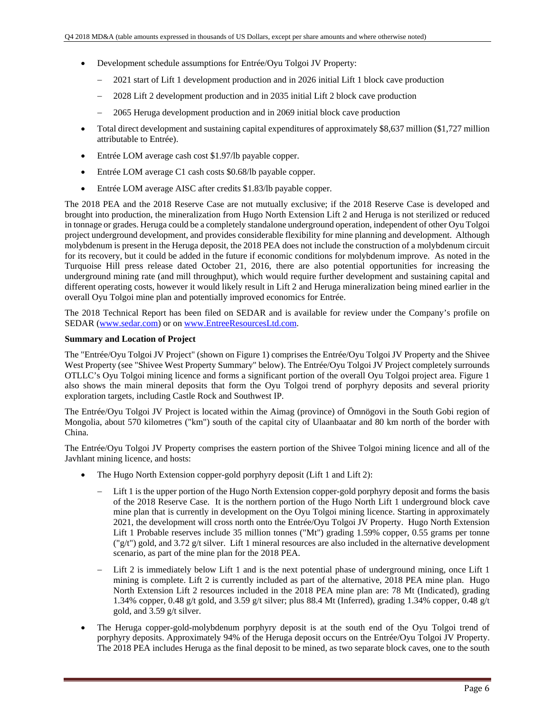- Development schedule assumptions for Entrée/Oyu Tolgoi JV Property:
	- 2021 start of Lift 1 development production and in 2026 initial Lift 1 block cave production
	- 2028 Lift 2 development production and in 2035 initial Lift 2 block cave production
	- 2065 Heruga development production and in 2069 initial block cave production
- Total direct development and sustaining capital expenditures of approximately \$8,637 million (\$1,727 million attributable to Entrée).
- Entrée LOM average cash cost \$1.97/lb payable copper.
- Entrée LOM average C1 cash costs \$0.68/lb payable copper.
- Entrée LOM average AISC after credits \$1.83/lb payable copper.

The 2018 PEA and the 2018 Reserve Case are not mutually exclusive; if the 2018 Reserve Case is developed and brought into production, the mineralization from Hugo North Extension Lift 2 and Heruga is not sterilized or reduced in tonnage or grades. Heruga could be a completely standalone underground operation, independent of other Oyu Tolgoi project underground development, and provides considerable flexibility for mine planning and development. Although molybdenum is present in the Heruga deposit, the 2018 PEA does not include the construction of a molybdenum circuit for its recovery, but it could be added in the future if economic conditions for molybdenum improve. As noted in the Turquoise Hill press release dated October 21, 2016, there are also potential opportunities for increasing the underground mining rate (and mill throughput), which would require further development and sustaining capital and different operating costs, however it would likely result in Lift 2 and Heruga mineralization being mined earlier in the overall Oyu Tolgoi mine plan and potentially improved economics for Entrée.

The 2018 Technical Report has been filed on SEDAR and is available for review under the Company's profile on SEDAR (www.sedar.com) or on www.EntreeResourcesLtd.com.

#### **Summary and Location of Project**

The "Entrée/Oyu Tolgoi JV Project" (shown on Figure 1) comprises the Entrée/Oyu Tolgoi JV Property and the Shivee West Property (see "Shivee West Property Summary" below). The Entrée/Oyu Tolgoi JV Project completely surrounds OTLLC's Oyu Tolgoi mining licence and forms a significant portion of the overall Oyu Tolgoi project area. Figure 1 also shows the main mineral deposits that form the Oyu Tolgoi trend of porphyry deposits and several priority exploration targets, including Castle Rock and Southwest IP.

The Entrée/Oyu Tolgoi JV Project is located within the Aimag (province) of Ömnögovi in the South Gobi region of Mongolia, about 570 kilometres ("km") south of the capital city of Ulaanbaatar and 80 km north of the border with China.

The Entrée/Oyu Tolgoi JV Property comprises the eastern portion of the Shivee Tolgoi mining licence and all of the Javhlant mining licence, and hosts:

- The Hugo North Extension copper-gold porphyry deposit (Lift 1 and Lift 2):
	- Lift 1 is the upper portion of the Hugo North Extension copper-gold porphyry deposit and forms the basis of the 2018 Reserve Case. It is the northern portion of the Hugo North Lift 1 underground block cave mine plan that is currently in development on the Oyu Tolgoi mining licence. Starting in approximately 2021, the development will cross north onto the Entrée/Oyu Tolgoi JV Property. Hugo North Extension Lift 1 Probable reserves include 35 million tonnes ("Mt") grading 1.59% copper, 0.55 grams per tonne  $\frac{(\nabla g(t))}{g(t)}$  gold, and 3.72 g/t silver. Lift 1 mineral resources are also included in the alternative development scenario, as part of the mine plan for the 2018 PEA.
	- Lift 2 is immediately below Lift 1 and is the next potential phase of underground mining, once Lift 1 mining is complete. Lift 2 is currently included as part of the alternative, 2018 PEA mine plan. Hugo North Extension Lift 2 resources included in the 2018 PEA mine plan are: 78 Mt (Indicated), grading 1.34% copper, 0.48 g/t gold, and 3.59 g/t silver; plus 88.4 Mt (Inferred), grading 1.34% copper, 0.48 g/t gold, and 3.59 g/t silver.
- The Heruga copper-gold-molybdenum porphyry deposit is at the south end of the Oyu Tolgoi trend of porphyry deposits. Approximately 94% of the Heruga deposit occurs on the Entrée/Oyu Tolgoi JV Property. The 2018 PEA includes Heruga as the final deposit to be mined, as two separate block caves, one to the south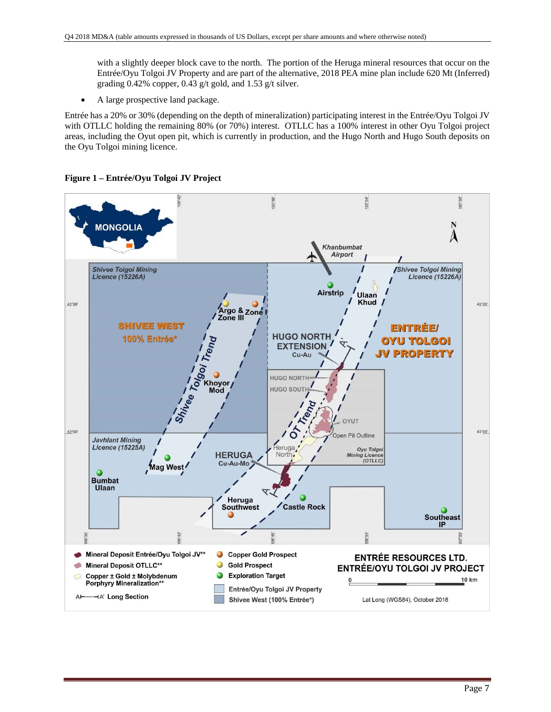with a slightly deeper block cave to the north. The portion of the Heruga mineral resources that occur on the Entrée/Oyu Tolgoi JV Property and are part of the alternative, 2018 PEA mine plan include 620 Mt (Inferred) grading 0.42% copper, 0.43 g/t gold, and 1.53 g/t silver.

• A large prospective land package.

Entrée has a 20% or 30% (depending on the depth of mineralization) participating interest in the Entrée/Oyu Tolgoi JV with OTLLC holding the remaining 80% (or 70%) interest. OTLLC has a 100% interest in other Oyu Tolgoi project areas, including the Oyut open pit, which is currently in production, and the Hugo North and Hugo South deposits on the Oyu Tolgoi mining licence.



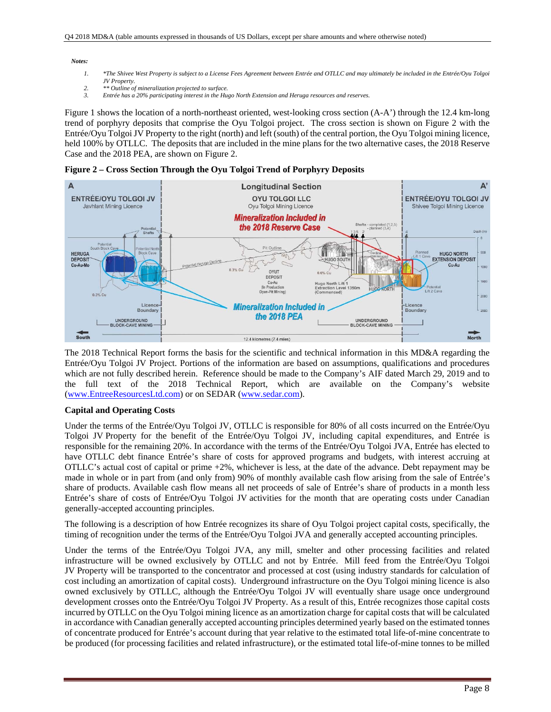#### *Notes:*

- *1. \*The Shivee West Property is subject to a License Fees Agreement between Entrée and OTLLC and may ultimately be included in the Entrée/Oyu Tolgoi JV Property.*
- *2. \*\* Outline of mineralization projected to surface.*
- *3. Entrée has a 20% participating interest in the Hugo North Extension and Heruga resources and reserves.*

Figure 1 shows the location of a north-northeast oriented, west-looking cross section (A-A') through the 12.4 km-long trend of porphyry deposits that comprise the Oyu Tolgoi project. The cross section is shown on Figure 2 with the Entrée/Oyu Tolgoi JV Property to the right (north) and left (south) of the central portion, the Oyu Tolgoi mining licence, held 100% by OTLLC. The deposits that are included in the mine plans for the two alternative cases, the 2018 Reserve Case and the 2018 PEA, are shown on Figure 2.

**Figure 2 – Cross Section Through the Oyu Tolgoi Trend of Porphyry Deposits** 



The 2018 Technical Report forms the basis for the scientific and technical information in this MD&A regarding the Entrée/Oyu Tolgoi JV Project. Portions of the information are based on assumptions, qualifications and procedures which are not fully described herein. Reference should be made to the Company's AIF dated March 29, 2019 and to the full text of the 2018 Technical Report, which are available on the Company's website (www.EntreeResourcesLtd.com) or on SEDAR (www.sedar.com).

#### **Capital and Operating Costs**

Under the terms of the Entrée/Oyu Tolgoi JV, OTLLC is responsible for 80% of all costs incurred on the Entrée/Oyu Tolgoi JV Property for the benefit of the Entrée/Oyu Tolgoi JV, including capital expenditures, and Entrée is responsible for the remaining 20%. In accordance with the terms of the Entrée/Oyu Tolgoi JVA, Entrée has elected to have OTLLC debt finance Entrée's share of costs for approved programs and budgets, with interest accruing at OTLLC's actual cost of capital or prime +2%, whichever is less, at the date of the advance. Debt repayment may be made in whole or in part from (and only from) 90% of monthly available cash flow arising from the sale of Entrée's share of products. Available cash flow means all net proceeds of sale of Entrée's share of products in a month less Entrée's share of costs of Entrée/Oyu Tolgoi JV activities for the month that are operating costs under Canadian generally-accepted accounting principles.

The following is a description of how Entrée recognizes its share of Oyu Tolgoi project capital costs, specifically, the timing of recognition under the terms of the Entrée/Oyu Tolgoi JVA and generally accepted accounting principles.

Under the terms of the Entrée/Oyu Tolgoi JVA, any mill, smelter and other processing facilities and related infrastructure will be owned exclusively by OTLLC and not by Entrée. Mill feed from the Entrée/Oyu Tolgoi JV Property will be transported to the concentrator and processed at cost (using industry standards for calculation of cost including an amortization of capital costs). Underground infrastructure on the Oyu Tolgoi mining licence is also owned exclusively by OTLLC, although the Entrée/Oyu Tolgoi JV will eventually share usage once underground development crosses onto the Entrée/Oyu Tolgoi JV Property. As a result of this, Entrée recognizes those capital costs incurred by OTLLC on the Oyu Tolgoi mining licence as an amortization charge for capital costs that will be calculated in accordance with Canadian generally accepted accounting principles determined yearly based on the estimated tonnes of concentrate produced for Entrée's account during that year relative to the estimated total life-of-mine concentrate to be produced (for processing facilities and related infrastructure), or the estimated total life-of-mine tonnes to be milled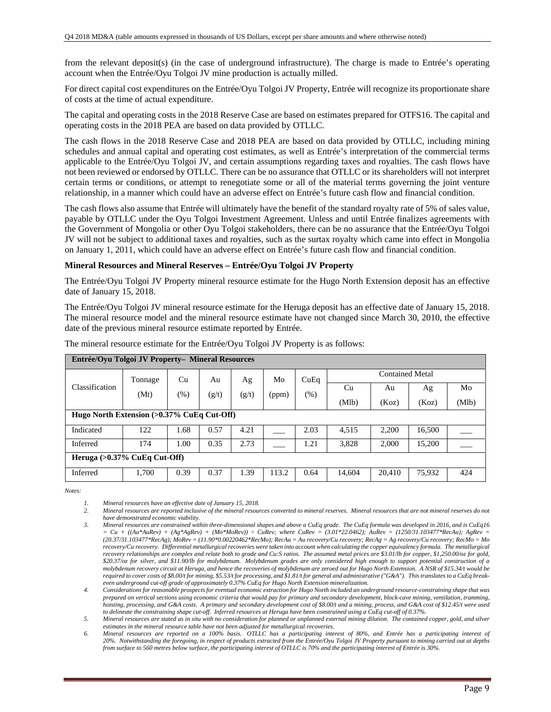from the relevant deposit(s) (in the case of underground infrastructure). The charge is made to Entrée's operating account when the Entrée/Oyu Tolgoi JV mine production is actually milled.

For direct capital cost expenditures on the Entrée/Oyu Tolgoi JV Property, Entrée will recognize its proportionate share of costs at the time of actual expenditure.

The capital and operating costs in the 2018 Reserve Case are based on estimates prepared for OTFS16. The capital and operating costs in the 2018 PEA are based on data provided by OTLLC.

The cash flows in the 2018 Reserve Case and 2018 PEA are based on data provided by OTLLC, including mining schedules and annual capital and operating cost estimates, as well as Entrée's interpretation of the commercial terms applicable to the Entrée/Oyu Tolgoi JV, and certain assumptions regarding taxes and royalties. The cash flows have not been reviewed or endorsed by OTLLC. There can be no assurance that OTLLC or its shareholders will not interpret certain terms or conditions, or attempt to renegotiate some or all of the material terms governing the joint venture relationship, in a manner which could have an adverse effect on Entrée's future cash flow and financial condition.

The cash flows also assume that Entrée will ultimately have the benefit of the standard royalty rate of 5% of sales value, payable by OTLLC under the Oyu Tolgoi Investment Agreement. Unless and until Entrée finalizes agreements with the Government of Mongolia or other Oyu Tolgoi stakeholders, there can be no assurance that the Entrée/Oyu Tolgoi JV will not be subject to additional taxes and royalties, such as the surtax royalty which came into effect in Mongolia on January 1, 2011, which could have an adverse effect on Entrée's future cash flow and financial condition.

#### **Mineral Resources and Mineral Reserves – Entrée/Oyu Tolgoi JV Property**

The Entrée/Oyu Tolgoi JV Property mineral resource estimate for the Hugo North Extension deposit has an effective date of January 15, 2018.

The Entrée/Oyu Tolgoi JV mineral resource estimate for the Heruga deposit has an effective date of January 15, 2018. The mineral resource model and the mineral resource estimate have not changed since March 30, 2010, the effective date of the previous mineral resource estimate reported by Entrée.

| Entrée/Oyu Tolgoi JV Property- Mineral Resources |         |        |       |       |       |                                |        |        |        |       |
|--------------------------------------------------|---------|--------|-------|-------|-------|--------------------------------|--------|--------|--------|-------|
|                                                  | Tonnage | Cu     | Au    | Ag    | Mo    | <b>Contained Metal</b><br>CuEq |        |        |        |       |
| Classification                                   | (Mt)    | $(\%)$ | (g/t) | (g/t) | (ppm) | $(\%)$                         | Cu     | Au     | Ag     | Mo    |
|                                                  |         |        |       |       |       |                                | (Mlb)  | (Koz)  | (Koz)  | (Mlb) |
| Hugo North Extension (>0.37% CuEq Cut-Off)       |         |        |       |       |       |                                |        |        |        |       |
| Indicated                                        | 122     | 1.68   | 0.57  | 4.21  |       | 2.03                           | 4,515  | 2,200  | 16,500 |       |
| Inferred                                         | 174     | 1.00   | 0.35  | 2.73  |       | 1.21                           | 3,828  | 2,000  | 15,200 |       |
| Heruga $\left( >0.37\% \right)$ CuEq Cut-Off     |         |        |       |       |       |                                |        |        |        |       |
| Inferred                                         | 1,700   | 0.39   | 0.37  | 1.39  | 113.2 | 0.64                           | 14,604 | 20.410 | 75,932 | 424   |

The mineral resource estimate for the Entrée/Oyu Tolgoi JV Property is as follows:

*Notes:* 

*1. Mineral resources have an effective date of January 15, 2018.* 

*2. Mineral resources are reported inclusive of the mineral resources converted to mineral reserves. Mineral resources that are not mineral reserves do not have demonstrated economic viability.* 

*4. Considerations for reasonable prospects for eventual economic extraction for Hugo North included an underground resource-constraining shape that was prepared on vertical sections using economic criteria that would pay for primary and secondary development, block-cave mining, ventilation, tramming, hoisting, processing, and G&A costs. A primary and secondary development cost of \$8.00/t and a mining, process, and G&A cost of \$12.45/t were used to delineate the constraining shape cut-off. Inferred resources at Heruga have been constrained using a CuEq cut-off of 0.37%.*

*5. Mineral resources are stated as in situ with no consideration for planned or unplanned external mining dilution. The contained copper, gold, and silver estimates in the mineral resource table have not been adjusted for metallurgical recoveries.* 

*6. Mineral resources are reported on a 100% basis. OTLLC has a participating interest of 80%, and Entrée has a participating interest of 20%. Notwithstanding the foregoing, in respect of products extracted from the Entrée/Oyu Tolgoi JV Property pursuant to mining carried out at depths from surface to 560 metres below surface, the participating interest of OTLLC is 70% and the participating interest of Entrée is 30%.* 

*<sup>3.</sup> Mineral resources are constrained within three-dimensional shapes and above a CuEq grade. The CuEq formula was developed in 2016, and is CuEq16*   $= Cu + ((Au*AuRev) + (Ag*AgRev) + (Mo*MoRev)) + CuRev$ ; where CuRev = (3.01\*22.0462); AuRev = (1250/31.103477\*RecAu); AgRev = *(20.37/31.103477\*RecAg); MoRev = (11.90\*0.00220462\*RecMo); RecAu = Au recovery/Cu recovery; RecAg = Ag recovery/Cu recovery; RecMo = Mo*  recovery/Cu recovery. Differential metallurgical recoveries were taken into account when calculating the copper equivalency formula. The metallurgical *recovery relationships are complex and relate both to grade and Cu:S ratios. The assumed metal prices are \$3.01/lb for copper, \$1,250.00/oz for gold, \$20.37/oz for silver, and \$11.90/lb for molybdenum. Molybdenum grades are only considered high enough to support potential construction of a molybdenum recovery circuit at Heruga, and hence the recoveries of molybdenum are zeroed out for Hugo North Extension. A NSR of \$15.34/t would be required to cover costs of \$8.00/t for mining, \$5.53/t for processing, and \$1.81/t for general and administrative ("G&A"). This translates to a CuEq breakeven underground cut-off grade of approximately 0.37% CuEq for Hugo North Extension mineralization.*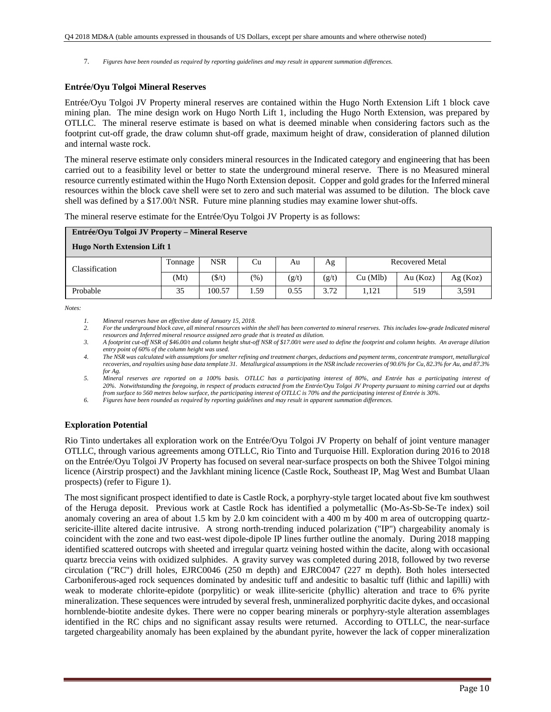7. *Figures have been rounded as required by reporting guidelines and may result in apparent summation differences.*

#### **Entrée/Oyu Tolgoi Mineral Reserves**

Entrée/Oyu Tolgoi JV Property mineral reserves are contained within the Hugo North Extension Lift 1 block cave mining plan. The mine design work on Hugo North Lift 1, including the Hugo North Extension, was prepared by OTLLC. The mineral reserve estimate is based on what is deemed minable when considering factors such as the footprint cut-off grade, the draw column shut-off grade, maximum height of draw, consideration of planned dilution and internal waste rock.

The mineral reserve estimate only considers mineral resources in the Indicated category and engineering that has been carried out to a feasibility level or better to state the underground mineral reserve. There is no Measured mineral resource currently estimated within the Hugo North Extension deposit. Copper and gold grades for the Inferred mineral resources within the block cave shell were set to zero and such material was assumed to be dilution. The block cave shell was defined by a \$17.00/t NSR. Future mine planning studies may examine lower shut-offs.

|  | The mineral reserve estimate for the Entrée/Oyu Tolgoi JV Property is as follows: |  |  |  |  |  |
|--|-----------------------------------------------------------------------------------|--|--|--|--|--|
|  |                                                                                   |  |  |  |  |  |

| Entrée/Oyu Tolgoi JV Property – Mineral Reserve |         |              |      |       |       |          |                 |         |  |
|-------------------------------------------------|---------|--------------|------|-------|-------|----------|-----------------|---------|--|
| <b>Hugo North Extension Lift 1</b>              |         |              |      |       |       |          |                 |         |  |
| Classification                                  | Tonnage | <b>NSR</b>   | Cu   | Au    | Ag    |          | Recovered Metal |         |  |
|                                                 | (Mt)    | $($ \$/t $)$ | (96) | (g/t) | (g/t) | Cu (Mlb) | Au $(Koz)$      | Ag(Koz) |  |
| Probable                                        | 35      | 100.57       | 1.59 | 0.55  | 3.72  | 1.121    | 519             | 3,591   |  |

*Notes:* 

*6. Figures have been rounded as required by reporting guidelines and may result in apparent summation differences.* 

#### **Exploration Potential**

Rio Tinto undertakes all exploration work on the Entrée/Oyu Tolgoi JV Property on behalf of joint venture manager OTLLC, through various agreements among OTLLC, Rio Tinto and Turquoise Hill. Exploration during 2016 to 2018 on the Entrée/Oyu Tolgoi JV Property has focused on several near-surface prospects on both the Shivee Tolgoi mining licence (Airstrip prospect) and the Javkhlant mining licence (Castle Rock, Southeast IP, Mag West and Bumbat Ulaan prospects) (refer to Figure 1).

The most significant prospect identified to date is Castle Rock, a porphyry-style target located about five km southwest of the Heruga deposit. Previous work at Castle Rock has identified a polymetallic (Mo-As-Sb-Se-Te index) soil anomaly covering an area of about 1.5 km by 2.0 km coincident with a 400 m by 400 m area of outcropping quartzsericite-illite altered dacite intrusive. A strong north-trending induced polarization ("IP") chargeability anomaly is coincident with the zone and two east-west dipole-dipole IP lines further outline the anomaly. During 2018 mapping identified scattered outcrops with sheeted and irregular quartz veining hosted within the dacite, along with occasional quartz breccia veins with oxidized sulphides. A gravity survey was completed during 2018, followed by two reverse circulation ("RC") drill holes, EJRC0046 (250 m depth) and EJRC0047 (227 m depth). Both holes intersected Carboniferous-aged rock sequences dominated by andesitic tuff and andesitic to basaltic tuff (lithic and lapilli) with weak to moderate chlorite-epidote (porpylitic) or weak illite-sericite (phyllic) alteration and trace to 6% pyrite mineralization. These sequences were intruded by several fresh, unmineralized porphyritic dacite dykes, and occasional hornblende-biotite andesite dykes. There were no copper bearing minerals or porphyry-style alteration assemblages identified in the RC chips and no significant assay results were returned. According to OTLLC, the near-surface targeted chargeability anomaly has been explained by the abundant pyrite, however the lack of copper mineralization

*<sup>1.</sup> Mineral reserves have an effective date of January 15, 2018.* 

For the underground block cave, all mineral resources within the shell has been converted to mineral reserves. This includes low-grade Indicated mineral *resources and Inferred mineral resource assigned zero grade that is treated as dilution.* 

*<sup>3.</sup> A footprint cut-off NSR of \$46.00/t and column height shut-off NSR of \$17.00/t were used to define the footprint and column heights. An average dilution entry point of 60% of the column height was used.* 

*<sup>4.</sup> The NSR was calculated with assumptions for smelter refining and treatment charges, deductions and payment terms, concentrate transport, metallurgical recoveries, and royalties using base data template 31. Metallurgical assumptions in the NSR include recoveries of 90.6% for Cu, 82.3% for Au, and 87.3% for Ag.* 

*<sup>5.</sup> Mineral reserves are reported on a 100% basis. OTLLC has a participating interest of 80%, and Entrée has a participating interest of 20%. Notwithstanding the foregoing, in respect of products extracted from the Entrée/Oyu Tolgoi JV Property pursuant to mining carried out at depths from surface to 560 metres below surface, the participating interest of OTLLC is 70% and the participating interest of Entrée is 30%.*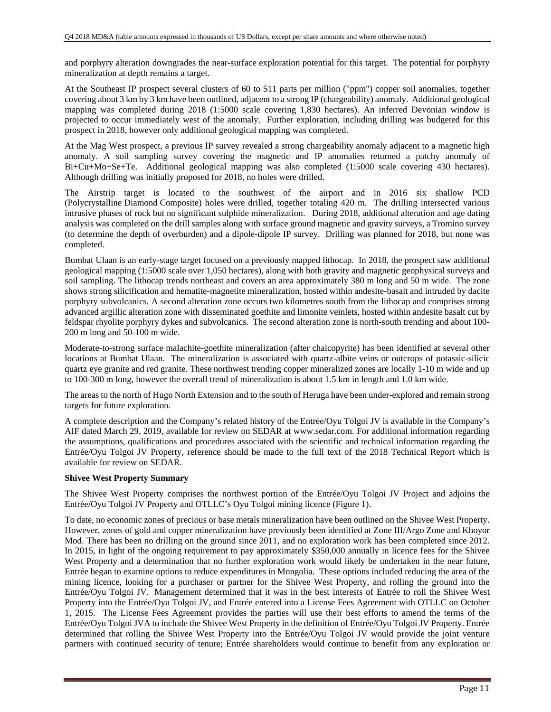and porphyry alteration downgrades the near-surface exploration potential for this target. The potential for porphyry mineralization at depth remains a target.

At the Southeast IP prospect several clusters of 60 to 511 parts per million ("ppm") copper soil anomalies, together covering about 3 km by 3 km have been outlined, adjacent to a strong IP (chargeability) anomaly. Additional geological mapping was completed during 2018 (1:5000 scale covering 1,830 hectares). An inferred Devonian window is projected to occur immediately west of the anomaly. Further exploration, including drilling was budgeted for this prospect in 2018, however only additional geological mapping was completed.

At the Mag West prospect, a previous IP survey revealed a strong chargeability anomaly adjacent to a magnetic high anomaly. A soil sampling survey covering the magnetic and IP anomalies returned a patchy anomaly of Bi+Cu+Mo+Se+Te. Additional geological mapping was also completed (1:5000 scale covering 430 hectares). Although drilling was initially proposed for 2018, no holes were drilled.

The Airstrip target is located to the southwest of the airport and in 2016 six shallow PCD (Polycrystalline Diamond Composite) holes were drilled, together totaling 420 m. The drilling intersected various intrusive phases of rock but no significant sulphide mineralization. During 2018, additional alteration and age dating analysis was completed on the drill samples along with surface ground magnetic and gravity surveys, a Tromino survey (to determine the depth of overburden) and a dipole-dipole IP survey. Drilling was planned for 2018, but none was completed.

Bumbat Ulaan is an early-stage target focused on a previously mapped lithocap. In 2018, the prospect saw additional geological mapping (1:5000 scale over 1,050 hectares), along with both gravity and magnetic geophysical surveys and soil sampling. The lithocap trends northeast and covers an area approximately 380 m long and 50 m wide. The zone shows strong silicification and hematite-magnetite mineralization, hosted within andesite-basalt and intruded by dacite porphyry subvolcanics. A second alteration zone occurs two kilometres south from the lithocap and comprises strong advanced argillic alteration zone with disseminated goethite and limonite veinlets, hosted within andesite basalt cut by feldspar rhyolite porphyry dykes and subvolcanics. The second alteration zone is north-south trending and about 100- 200 m long and 50-100 m wide.

Moderate-to-strong surface malachite-goethite mineralization (after chalcopyrite) has been identified at several other locations at Bumbat Ulaan. The mineralization is associated with quartz-albite veins or outcrops of potassic-silicic quartz eye granite and red granite. These northwest trending copper mineralized zones are locally 1-10 m wide and up to 100-300 m long, however the overall trend of mineralization is about 1.5 km in length and 1.0 km wide.

The areas to the north of Hugo North Extension and to the south of Heruga have been under-explored and remain strong targets for future exploration.

A complete description and the Company's related history of the Entrée/Oyu Tolgoi JV is available in the Company's AIF dated March 29, 2019, available for review on SEDAR at www.sedar.com. For additional information regarding the assumptions, qualifications and procedures associated with the scientific and technical information regarding the Entrée/Oyu Tolgoi JV Property, reference should be made to the full text of the 2018 Technical Report which is available for review on SEDAR.

## **Shivee West Property Summary**

The Shivee West Property comprises the northwest portion of the Entrée/Oyu Tolgoi JV Project and adjoins the Entrée/Oyu Tolgoi JV Property and OTLLC's Oyu Tolgoi mining licence (Figure 1).

To date, no economic zones of precious or base metals mineralization have been outlined on the Shivee West Property. However, zones of gold and copper mineralization have previously been identified at Zone III/Argo Zone and Khoyor Mod. There has been no drilling on the ground since 2011, and no exploration work has been completed since 2012. In 2015, in light of the ongoing requirement to pay approximately \$350,000 annually in licence fees for the Shivee West Property and a determination that no further exploration work would likely be undertaken in the near future, Entrée began to examine options to reduce expenditures in Mongolia. These options included reducing the area of the mining licence, looking for a purchaser or partner for the Shivee West Property, and rolling the ground into the Entrée/Oyu Tolgoi JV. Management determined that it was in the best interests of Entrée to roll the Shivee West Property into the Entrée/Oyu Tolgoi JV, and Entrée entered into a License Fees Agreement with OTLLC on October 1, 2015. The License Fees Agreement provides the parties will use their best efforts to amend the terms of the Entrée/Oyu Tolgoi JVA to include the Shivee West Property in the definition of Entrée/Oyu Tolgoi JV Property. Entrée determined that rolling the Shivee West Property into the Entrée/Oyu Tolgoi JV would provide the joint venture partners with continued security of tenure; Entrée shareholders would continue to benefit from any exploration or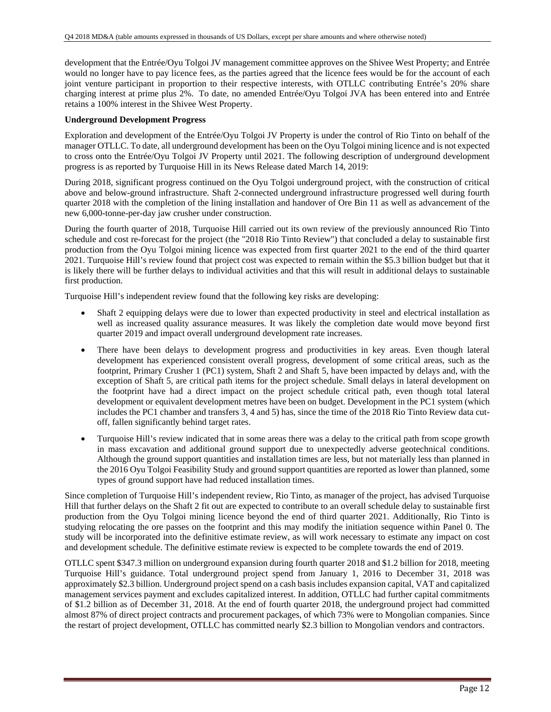development that the Entrée/Oyu Tolgoi JV management committee approves on the Shivee West Property; and Entrée would no longer have to pay licence fees, as the parties agreed that the licence fees would be for the account of each joint venture participant in proportion to their respective interests, with OTLLC contributing Entrée's 20% share charging interest at prime plus 2%. To date, no amended Entrée/Oyu Tolgoi JVA has been entered into and Entrée retains a 100% interest in the Shivee West Property.

#### **Underground Development Progress**

Exploration and development of the Entrée/Oyu Tolgoi JV Property is under the control of Rio Tinto on behalf of the manager OTLLC. To date, all underground development has been on the Oyu Tolgoi mining licence and is not expected to cross onto the Entrée/Oyu Tolgoi JV Property until 2021. The following description of underground development progress is as reported by Turquoise Hill in its News Release dated March 14, 2019:

During 2018, significant progress continued on the Oyu Tolgoi underground project, with the construction of critical above and below-ground infrastructure. Shaft 2-connected underground infrastructure progressed well during fourth quarter 2018 with the completion of the lining installation and handover of Ore Bin 11 as well as advancement of the new 6,000-tonne-per-day jaw crusher under construction.

During the fourth quarter of 2018, Turquoise Hill carried out its own review of the previously announced Rio Tinto schedule and cost re-forecast for the project (the "2018 Rio Tinto Review") that concluded a delay to sustainable first production from the Oyu Tolgoi mining licence was expected from first quarter 2021 to the end of the third quarter 2021. Turquoise Hill's review found that project cost was expected to remain within the \$5.3 billion budget but that it is likely there will be further delays to individual activities and that this will result in additional delays to sustainable first production.

Turquoise Hill's independent review found that the following key risks are developing:

- Shaft 2 equipping delays were due to lower than expected productivity in steel and electrical installation as well as increased quality assurance measures. It was likely the completion date would move beyond first quarter 2019 and impact overall underground development rate increases.
- There have been delays to development progress and productivities in key areas. Even though lateral development has experienced consistent overall progress, development of some critical areas, such as the footprint, Primary Crusher 1 (PC1) system, Shaft 2 and Shaft 5, have been impacted by delays and, with the exception of Shaft 5, are critical path items for the project schedule. Small delays in lateral development on the footprint have had a direct impact on the project schedule critical path, even though total lateral development or equivalent development metres have been on budget. Development in the PC1 system (which includes the PC1 chamber and transfers 3, 4 and 5) has, since the time of the 2018 Rio Tinto Review data cutoff, fallen significantly behind target rates.
- Turquoise Hill's review indicated that in some areas there was a delay to the critical path from scope growth in mass excavation and additional ground support due to unexpectedly adverse geotechnical conditions. Although the ground support quantities and installation times are less, but not materially less than planned in the 2016 Oyu Tolgoi Feasibility Study and ground support quantities are reported as lower than planned, some types of ground support have had reduced installation times.

Since completion of Turquoise Hill's independent review, Rio Tinto, as manager of the project, has advised Turquoise Hill that further delays on the Shaft 2 fit out are expected to contribute to an overall schedule delay to sustainable first production from the Oyu Tolgoi mining licence beyond the end of third quarter 2021. Additionally, Rio Tinto is studying relocating the ore passes on the footprint and this may modify the initiation sequence within Panel 0. The study will be incorporated into the definitive estimate review, as will work necessary to estimate any impact on cost and development schedule. The definitive estimate review is expected to be complete towards the end of 2019.

OTLLC spent \$347.3 million on underground expansion during fourth quarter 2018 and \$1.2 billion for 2018, meeting Turquoise Hill's guidance. Total underground project spend from January 1, 2016 to December 31, 2018 was approximately \$2.3 billion. Underground project spend on a cash basis includes expansion capital, VAT and capitalized management services payment and excludes capitalized interest. In addition, OTLLC had further capital commitments of \$1.2 billion as of December 31, 2018. At the end of fourth quarter 2018, the underground project had committed almost 87% of direct project contracts and procurement packages, of which 73% were to Mongolian companies. Since the restart of project development, OTLLC has committed nearly \$2.3 billion to Mongolian vendors and contractors.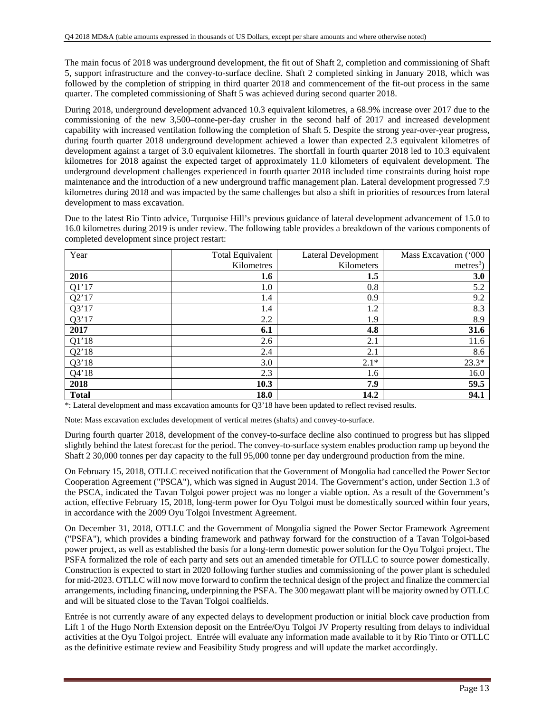The main focus of 2018 was underground development, the fit out of Shaft 2, completion and commissioning of Shaft 5, support infrastructure and the convey-to-surface decline. Shaft 2 completed sinking in January 2018, which was followed by the completion of stripping in third quarter 2018 and commencement of the fit-out process in the same quarter. The completed commissioning of Shaft 5 was achieved during second quarter 2018.

During 2018, underground development advanced 10.3 equivalent kilometres, a 68.9% increase over 2017 due to the commissioning of the new 3,500–tonne-per-day crusher in the second half of 2017 and increased development capability with increased ventilation following the completion of Shaft 5. Despite the strong year-over-year progress, during fourth quarter 2018 underground development achieved a lower than expected 2.3 equivalent kilometres of development against a target of 3.0 equivalent kilometres. The shortfall in fourth quarter 2018 led to 10.3 equivalent kilometres for 2018 against the expected target of approximately 11.0 kilometers of equivalent development. The underground development challenges experienced in fourth quarter 2018 included time constraints during hoist rope maintenance and the introduction of a new underground traffic management plan. Lateral development progressed 7.9 kilometres during 2018 and was impacted by the same challenges but also a shift in priorities of resources from lateral development to mass excavation.

Due to the latest Rio Tinto advice, Turquoise Hill's previous guidance of lateral development advancement of 15.0 to 16.0 kilometres during 2019 is under review. The following table provides a breakdown of the various components of completed development since project restart:

| Year         | <b>Total Equivalent</b> | Lateral Development | Mass Excavation ('000 |
|--------------|-------------------------|---------------------|-----------------------|
|              | Kilometres              | Kilometers          | $metres3$ )           |
| 2016         | 1.6                     | 1.5                 | 3.0                   |
| Q1'17        | 1.0                     | 0.8                 | 5.2                   |
| Q2'17        | 1.4                     | 0.9                 | 9.2                   |
| Q3'17        | 1.4                     | 1.2                 | 8.3                   |
| Q3'17        | 2.2                     | 1.9                 | 8.9                   |
| 2017         | 6.1                     | 4.8                 | 31.6                  |
| Q1'18        | 2.6                     | 2.1                 | 11.6                  |
| Q2'18        | 2.4                     | 2.1                 | 8.6                   |
| Q3'18        | 3.0                     | $2.1*$              | $23.3*$               |
| Q4'18        | 2.3                     | 1.6                 | 16.0                  |
| 2018         | 10.3                    | 7.9                 | 59.5                  |
| <b>Total</b> | 18.0                    | 14.2                | 94.1                  |

\*: Lateral development and mass excavation amounts for Q3'18 have been updated to reflect revised results.

Note: Mass excavation excludes development of vertical metres (shafts) and convey-to-surface.

During fourth quarter 2018, development of the convey-to-surface decline also continued to progress but has slipped slightly behind the latest forecast for the period. The convey-to-surface system enables production ramp up beyond the Shaft 2 30,000 tonnes per day capacity to the full 95,000 tonne per day underground production from the mine.

On February 15, 2018, OTLLC received notification that the Government of Mongolia had cancelled the Power Sector Cooperation Agreement ("PSCA"), which was signed in August 2014. The Government's action, under Section 1.3 of the PSCA, indicated the Tavan Tolgoi power project was no longer a viable option. As a result of the Government's action, effective February 15, 2018, long-term power for Oyu Tolgoi must be domestically sourced within four years, in accordance with the 2009 Oyu Tolgoi Investment Agreement.

On December 31, 2018, OTLLC and the Government of Mongolia signed the Power Sector Framework Agreement ("PSFA"), which provides a binding framework and pathway forward for the construction of a Tavan Tolgoi-based power project, as well as established the basis for a long-term domestic power solution for the Oyu Tolgoi project. The PSFA formalized the role of each party and sets out an amended timetable for OTLLC to source power domestically. Construction is expected to start in 2020 following further studies and commissioning of the power plant is scheduled for mid-2023. OTLLC will now move forward to confirm the technical design of the project and finalize the commercial arrangements, including financing, underpinning the PSFA. The 300 megawatt plant will be majority owned by OTLLC and will be situated close to the Tavan Tolgoi coalfields.

Entrée is not currently aware of any expected delays to development production or initial block cave production from Lift 1 of the Hugo North Extension deposit on the Entrée/Oyu Tolgoi JV Property resulting from delays to individual activities at the Oyu Tolgoi project. Entrée will evaluate any information made available to it by Rio Tinto or OTLLC as the definitive estimate review and Feasibility Study progress and will update the market accordingly.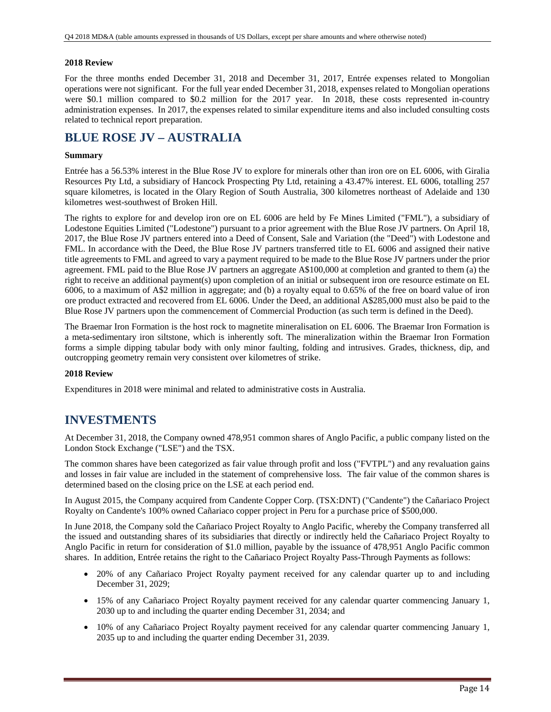#### **2018 Review**

For the three months ended December 31, 2018 and December 31, 2017, Entrée expenses related to Mongolian operations were not significant. For the full year ended December 31, 2018, expenses related to Mongolian operations were \$0.1 million compared to \$0.2 million for the 2017 year. In 2018, these costs represented in-country administration expenses. In 2017, the expenses related to similar expenditure items and also included consulting costs related to technical report preparation.

## **BLUE ROSE JV – AUSTRALIA**

#### **Summary**

Entrée has a 56.53% interest in the Blue Rose JV to explore for minerals other than iron ore on EL 6006, with Giralia Resources Pty Ltd, a subsidiary of Hancock Prospecting Pty Ltd, retaining a 43.47% interest. EL 6006, totalling 257 square kilometres, is located in the Olary Region of South Australia, 300 kilometres northeast of Adelaide and 130 kilometres west-southwest of Broken Hill.

The rights to explore for and develop iron ore on EL 6006 are held by Fe Mines Limited ("FML"), a subsidiary of Lodestone Equities Limited ("Lodestone") pursuant to a prior agreement with the Blue Rose JV partners. On April 18, 2017, the Blue Rose JV partners entered into a Deed of Consent, Sale and Variation (the "Deed") with Lodestone and FML. In accordance with the Deed, the Blue Rose JV partners transferred title to EL 6006 and assigned their native title agreements to FML and agreed to vary a payment required to be made to the Blue Rose JV partners under the prior agreement. FML paid to the Blue Rose JV partners an aggregate A\$100,000 at completion and granted to them (a) the right to receive an additional payment(s) upon completion of an initial or subsequent iron ore resource estimate on EL 6006, to a maximum of A\$2 million in aggregate; and (b) a royalty equal to 0.65% of the free on board value of iron ore product extracted and recovered from EL 6006. Under the Deed, an additional A\$285,000 must also be paid to the Blue Rose JV partners upon the commencement of Commercial Production (as such term is defined in the Deed).

The Braemar Iron Formation is the host rock to magnetite mineralisation on EL 6006. The Braemar Iron Formation is a meta-sedimentary iron siltstone, which is inherently soft. The mineralization within the Braemar Iron Formation forms a simple dipping tabular body with only minor faulting, folding and intrusives. Grades, thickness, dip, and outcropping geometry remain very consistent over kilometres of strike.

#### **2018 Review**

Expenditures in 2018 were minimal and related to administrative costs in Australia.

## **INVESTMENTS**

At December 31, 2018, the Company owned 478,951 common shares of Anglo Pacific, a public company listed on the London Stock Exchange ("LSE") and the TSX.

The common shares have been categorized as fair value through profit and loss ("FVTPL") and any revaluation gains and losses in fair value are included in the statement of comprehensive loss. The fair value of the common shares is determined based on the closing price on the LSE at each period end.

In August 2015, the Company acquired from Candente Copper Corp. (TSX:DNT) ("Candente") the Cañariaco Project Royalty on Candente's 100% owned Cañariaco copper project in Peru for a purchase price of \$500,000.

In June 2018, the Company sold the Cañariaco Project Royalty to Anglo Pacific, whereby the Company transferred all the issued and outstanding shares of its subsidiaries that directly or indirectly held the Cañariaco Project Royalty to Anglo Pacific in return for consideration of \$1.0 million, payable by the issuance of 478,951 Anglo Pacific common shares. In addition, Entrée retains the right to the Cañariaco Project Royalty Pass-Through Payments as follows:

- 20% of any Cañariaco Project Royalty payment received for any calendar quarter up to and including December 31, 2029;
- 15% of any Cañariaco Project Royalty payment received for any calendar quarter commencing January 1, 2030 up to and including the quarter ending December 31, 2034; and
- 10% of any Cañariaco Project Royalty payment received for any calendar quarter commencing January 1, 2035 up to and including the quarter ending December 31, 2039.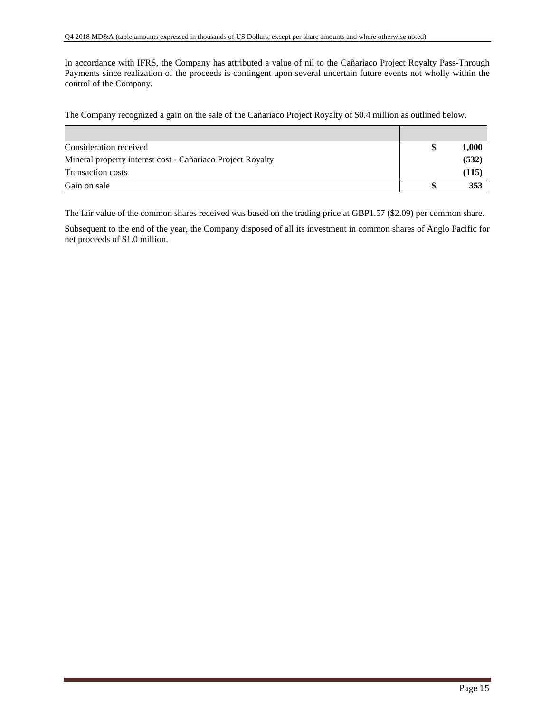In accordance with IFRS, the Company has attributed a value of nil to the Cañariaco Project Royalty Pass-Through Payments since realization of the proceeds is contingent upon several uncertain future events not wholly within the control of the Company.

The Company recognized a gain on the sale of the Cañariaco Project Royalty of \$0.4 million as outlined below.

| Consideration received                                     | 1,000 |
|------------------------------------------------------------|-------|
| Mineral property interest cost - Cañariaco Project Royalty | (532) |
| <b>Transaction costs</b>                                   | (115) |
| Gain on sale                                               | 353   |

The fair value of the common shares received was based on the trading price at GBP1.57 (\$2.09) per common share.

Subsequent to the end of the year, the Company disposed of all its investment in common shares of Anglo Pacific for net proceeds of \$1.0 million.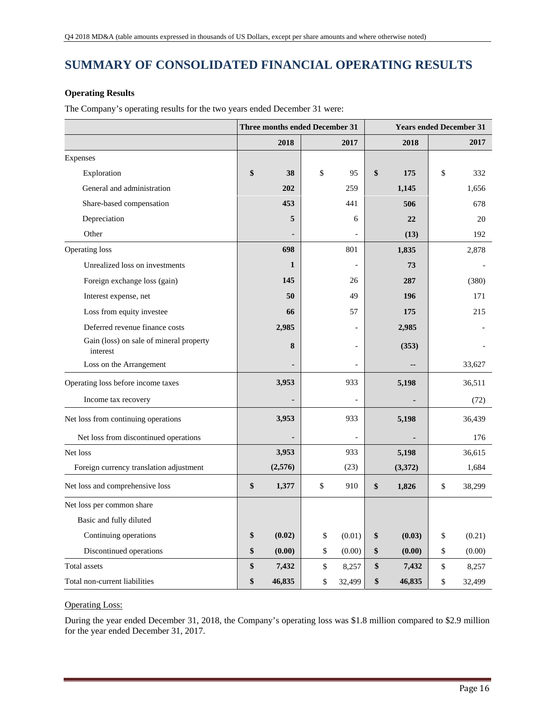# **SUMMARY OF CONSOLIDATED FINANCIAL OPERATING RESULTS**

## **Operating Results**

The Company's operating results for the two years ended December 31 were:

|                                         | <b>Three months ended December 31</b> |              |    |                |    | <b>Years ended December 31</b> |    |        |
|-----------------------------------------|---------------------------------------|--------------|----|----------------|----|--------------------------------|----|--------|
|                                         |                                       | 2018         |    | 2017           |    | 2018                           |    | 2017   |
| Expenses                                |                                       |              |    |                |    |                                |    |        |
| Exploration                             | \$                                    | 38           | \$ | 95             | \$ | 175                            | \$ | 332    |
| General and administration              |                                       | 202          |    | 259            |    | 1,145                          |    | 1,656  |
| Share-based compensation                |                                       | 453          |    | 441            |    | 506                            |    | 678    |
| Depreciation                            |                                       | 5            |    | 6              |    | 22                             |    | 20     |
| Other                                   |                                       |              |    | $\overline{a}$ |    | (13)                           |    | 192    |
| Operating loss                          |                                       | 698          |    | 801            |    | 1,835                          |    | 2,878  |
| Unrealized loss on investments          |                                       | $\mathbf{1}$ |    |                |    | 73                             |    |        |
| Foreign exchange loss (gain)            |                                       | 145          |    | 26             |    | 287                            |    | (380)  |
| Interest expense, net                   |                                       | 50           |    | 49             |    | 196                            |    | 171    |
| Loss from equity investee               |                                       | 66           |    | 57             |    | 175                            |    | 215    |
| Deferred revenue finance costs          |                                       | 2,985        |    |                |    | 2,985                          |    |        |
| Gain (loss) on sale of mineral property |                                       | 8            |    | $\overline{a}$ |    | (353)                          |    |        |
| interest                                |                                       |              |    |                |    |                                |    |        |
| Loss on the Arrangement                 |                                       |              |    | $\overline{a}$ |    |                                |    | 33,627 |
| Operating loss before income taxes      |                                       | 3,953        |    | 933            |    | 5,198                          |    | 36,511 |
| Income tax recovery                     |                                       |              |    | $\overline{a}$ |    |                                |    | (72)   |
| Net loss from continuing operations     |                                       | 3,953        |    | 933            |    | 5,198                          |    | 36,439 |
| Net loss from discontinued operations   |                                       |              |    |                |    |                                |    | 176    |
| Net loss                                |                                       | 3,953        |    | 933            |    | 5,198                          |    | 36,615 |
| Foreign currency translation adjustment |                                       | (2,576)      |    | (23)           |    | (3,372)                        |    | 1,684  |
| Net loss and comprehensive loss         | \$                                    | 1,377        | \$ | 910            | \$ | 1,826                          | \$ | 38,299 |
| Net loss per common share               |                                       |              |    |                |    |                                |    |        |
| Basic and fully diluted                 |                                       |              |    |                |    |                                |    |        |
| Continuing operations                   | \$                                    | (0.02)       | \$ | (0.01)         | \$ | (0.03)                         | \$ | (0.21) |
| Discontinued operations                 | \$                                    | (0.00)       | \$ | (0.00)         | \$ | (0.00)                         | \$ | (0.00) |
| Total assets                            | \$                                    | 7,432        | \$ | 8,257          | \$ | 7,432                          | \$ | 8,257  |
| Total non-current liabilities           | \$                                    | 46,835       | \$ | 32,499         | \$ | 46,835                         | \$ | 32,499 |

## Operating Loss:

During the year ended December 31, 2018, the Company's operating loss was \$1.8 million compared to \$2.9 million for the year ended December 31, 2017.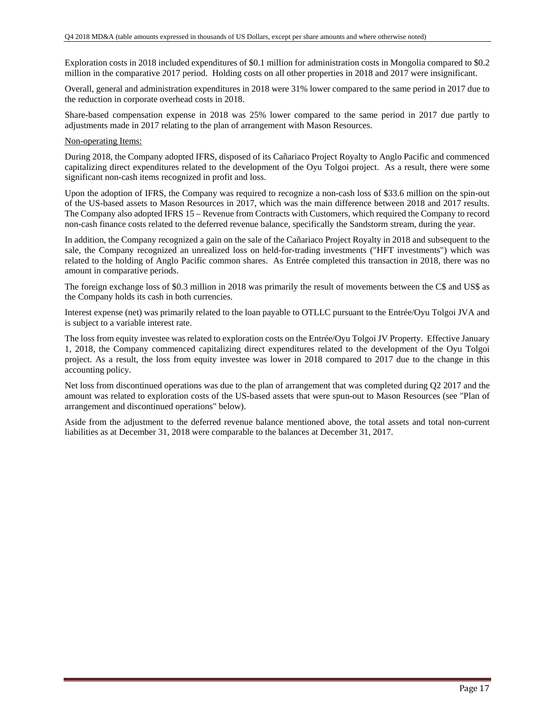Exploration costs in 2018 included expenditures of \$0.1 million for administration costs in Mongolia compared to \$0.2 million in the comparative 2017 period. Holding costs on all other properties in 2018 and 2017 were insignificant.

Overall, general and administration expenditures in 2018 were 31% lower compared to the same period in 2017 due to the reduction in corporate overhead costs in 2018.

Share-based compensation expense in 2018 was 25% lower compared to the same period in 2017 due partly to adjustments made in 2017 relating to the plan of arrangement with Mason Resources.

#### Non-operating Items:

During 2018, the Company adopted IFRS, disposed of its Cañariaco Project Royalty to Anglo Pacific and commenced capitalizing direct expenditures related to the development of the Oyu Tolgoi project. As a result, there were some significant non-cash items recognized in profit and loss.

Upon the adoption of IFRS, the Company was required to recognize a non-cash loss of \$33.6 million on the spin-out of the US-based assets to Mason Resources in 2017, which was the main difference between 2018 and 2017 results. The Company also adopted IFRS 15 – Revenue from Contracts with Customers, which required the Company to record non-cash finance costs related to the deferred revenue balance, specifically the Sandstorm stream, during the year.

In addition, the Company recognized a gain on the sale of the Cañariaco Project Royalty in 2018 and subsequent to the sale, the Company recognized an unrealized loss on held-for-trading investments ("HFT investments") which was related to the holding of Anglo Pacific common shares. As Entrée completed this transaction in 2018, there was no amount in comparative periods.

The foreign exchange loss of \$0.3 million in 2018 was primarily the result of movements between the C\$ and US\$ as the Company holds its cash in both currencies.

Interest expense (net) was primarily related to the loan payable to OTLLC pursuant to the Entrée/Oyu Tolgoi JVA and is subject to a variable interest rate.

The loss from equity investee was related to exploration costs on the Entrée/Oyu Tolgoi JV Property. Effective January 1, 2018, the Company commenced capitalizing direct expenditures related to the development of the Oyu Tolgoi project. As a result, the loss from equity investee was lower in 2018 compared to 2017 due to the change in this accounting policy.

Net loss from discontinued operations was due to the plan of arrangement that was completed during Q2 2017 and the amount was related to exploration costs of the US-based assets that were spun-out to Mason Resources (see "Plan of arrangement and discontinued operations" below).

Aside from the adjustment to the deferred revenue balance mentioned above, the total assets and total non-current liabilities as at December 31, 2018 were comparable to the balances at December 31, 2017.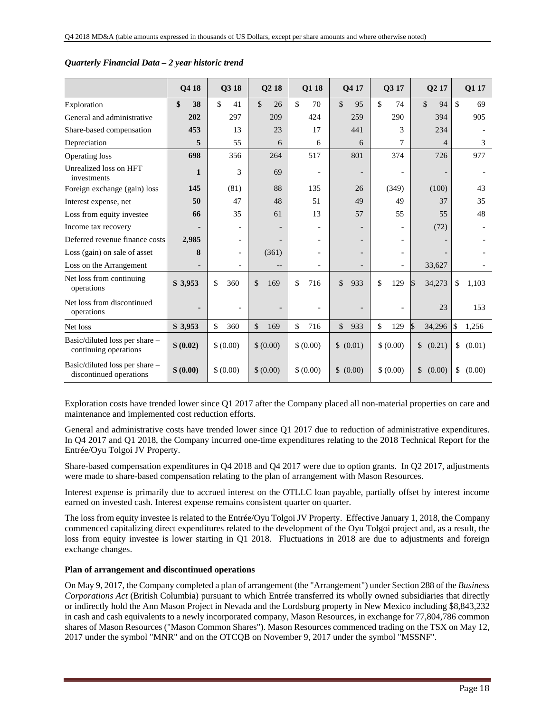|                                                           | Q4 18        | Q3 18                    | Q <sub>2</sub> 18    | Q1 18                    | Q4 17                    | Q3 17                    | Q <sub>2</sub> 17      | Q1 17        |
|-----------------------------------------------------------|--------------|--------------------------|----------------------|--------------------------|--------------------------|--------------------------|------------------------|--------------|
| Exploration                                               | \$<br>38     | \$<br>41                 | $\mathcal{S}$<br>26  | $\mathbf{\hat{S}}$<br>70 | \$<br>95                 | \$<br>74                 | $\mathcal{S}$<br>94    | \$<br>69     |
| General and administrative                                | 202          | 297                      | 209                  | 424                      | 259                      | 290                      | 394                    | 905          |
| Share-based compensation                                  | 453          | 13                       | 23                   | 17                       | 441                      | 3                        | 234                    |              |
| Depreciation                                              | 5            | 55                       | 6                    | 6                        | 6                        | 7                        | $\Delta$               | 3            |
| Operating loss                                            | 698          | 356                      | 264                  | 517                      | 801                      | 374                      | 726                    | 977          |
| Unrealized loss on HFT<br>investments                     | $\mathbf{1}$ | 3                        | 69                   |                          | $\overline{\phantom{a}}$ | $\overline{\phantom{a}}$ |                        |              |
| Foreign exchange (gain) loss                              | 145          | (81)                     | 88                   | 135                      | 26                       | (349)                    | (100)                  | 43           |
| Interest expense, net                                     | 50           | 47                       | 48                   | 51                       | 49                       | 49                       | 37                     | 35           |
| Loss from equity investee                                 | 66           | 35                       | 61                   | 13                       | 57                       | 55                       | 55                     | 48           |
| Income tax recovery                                       |              |                          |                      |                          |                          |                          | (72)                   |              |
| Deferred revenue finance costs                            | 2,985        |                          |                      |                          |                          |                          |                        |              |
| Loss (gain) on sale of asset                              | 8            |                          | (361)                | ٠                        | $\overline{\phantom{a}}$ |                          |                        |              |
| Loss on the Arrangement                                   |              | $\overline{\phantom{a}}$ | --                   | ٠                        | $\qquad \qquad -$        | $\blacksquare$           | 33,627                 |              |
| Net loss from continuing<br>operations                    | \$3,953      | \$<br>360                | \$<br>169            | \$<br>716                | \$<br>933                | \$<br>129                | 34,273<br>S            | \$<br>1,103  |
| Net loss from discontinued<br>operations                  |              |                          |                      |                          |                          |                          | 23                     | 153          |
| Net loss                                                  | \$3,953      | $\mathcal{S}$<br>360     | $\mathcal{S}$<br>169 | $\mathcal{S}$<br>716     | $\mathcal{S}$<br>933     | \$<br>129                | 34,296<br>\$           | \$<br>1,256  |
| Basic/diluted loss per share -<br>continuing operations   | \$ (0.02)    | \$ (0.00)                | \$ (0.00)            | \$ (0.00)                | \$ (0.01)                | \$ (0.00)                | $\mathbb{S}$<br>(0.21) | \$<br>(0.01) |
| Basic/diluted loss per share -<br>discontinued operations | \$ (0.00)    | \$ (0.00)                | \$(0.00)             | \$ (0.00)                | \$ (0.00)                | \$ (0.00)                | \$<br>(0.00)           | \$<br>(0.00) |

#### *Quarterly Financial Data – 2 year historic trend*

Exploration costs have trended lower since Q1 2017 after the Company placed all non-material properties on care and maintenance and implemented cost reduction efforts.

General and administrative costs have trended lower since Q1 2017 due to reduction of administrative expenditures. In Q4 2017 and Q1 2018, the Company incurred one-time expenditures relating to the 2018 Technical Report for the Entrée/Oyu Tolgoi JV Property.

Share-based compensation expenditures in Q4 2018 and Q4 2017 were due to option grants. In Q2 2017, adjustments were made to share-based compensation relating to the plan of arrangement with Mason Resources.

Interest expense is primarily due to accrued interest on the OTLLC loan payable, partially offset by interest income earned on invested cash. Interest expense remains consistent quarter on quarter.

The loss from equity investee is related to the Entrée/Oyu Tolgoi JV Property. Effective January 1, 2018, the Company commenced capitalizing direct expenditures related to the development of the Oyu Tolgoi project and, as a result, the loss from equity investee is lower starting in Q1 2018. Fluctuations in 2018 are due to adjustments and foreign exchange changes.

#### **Plan of arrangement and discontinued operations**

On May 9, 2017, the Company completed a plan of arrangement (the "Arrangement") under Section 288 of the *Business Corporations Act* (British Columbia) pursuant to which Entrée transferred its wholly owned subsidiaries that directly or indirectly hold the Ann Mason Project in Nevada and the Lordsburg property in New Mexico including \$8,843,232 in cash and cash equivalents to a newly incorporated company, Mason Resources, in exchange for 77,804,786 common shares of Mason Resources ("Mason Common Shares"). Mason Resources commenced trading on the TSX on May 12, 2017 under the symbol "MNR" and on the OTCQB on November 9, 2017 under the symbol "MSSNF".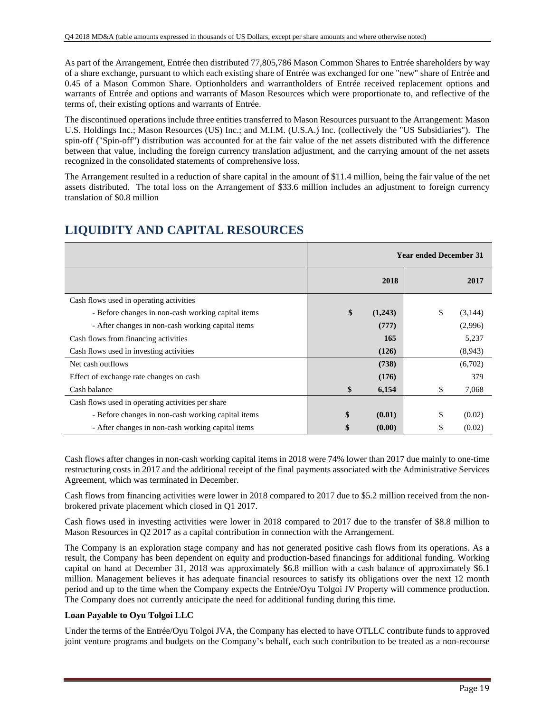As part of the Arrangement, Entrée then distributed 77,805,786 Mason Common Shares to Entrée shareholders by way of a share exchange, pursuant to which each existing share of Entrée was exchanged for one "new" share of Entrée and 0.45 of a Mason Common Share. Optionholders and warrantholders of Entrée received replacement options and warrants of Entrée and options and warrants of Mason Resources which were proportionate to, and reflective of the terms of, their existing options and warrants of Entrée.

The discontinued operations include three entities transferred to Mason Resources pursuant to the Arrangement: Mason U.S. Holdings Inc.; Mason Resources (US) Inc.; and M.I.M. (U.S.A.) Inc. (collectively the "US Subsidiaries"). The spin-off ("Spin-off") distribution was accounted for at the fair value of the net assets distributed with the difference between that value, including the foreign currency translation adjustment, and the carrying amount of the net assets recognized in the consolidated statements of comprehensive loss.

The Arrangement resulted in a reduction of share capital in the amount of \$11.4 million, being the fair value of the net assets distributed. The total loss on the Arrangement of \$33.6 million includes an adjustment to foreign currency translation of \$0.8 million

|                                                    | <b>Year ended December 31</b> |    |         |  |  |
|----------------------------------------------------|-------------------------------|----|---------|--|--|
|                                                    | 2018                          |    | 2017    |  |  |
| Cash flows used in operating activities            |                               |    |         |  |  |
| - Before changes in non-cash working capital items | \$<br>(1,243)                 | \$ | (3,144) |  |  |
| - After changes in non-cash working capital items  | (777)                         |    | (2,996) |  |  |
| Cash flows from financing activities               | <b>165</b>                    |    | 5,237   |  |  |
| Cash flows used in investing activities            | (126)                         |    | (8,943) |  |  |
| Net cash outflows                                  | (738)                         |    | (6,702) |  |  |
| Effect of exchange rate changes on cash            | (176)                         |    | 379     |  |  |
| Cash balance                                       | \$<br>6,154                   | \$ | 7,068   |  |  |
| Cash flows used in operating activities per share  |                               |    |         |  |  |
| - Before changes in non-cash working capital items | \$<br>(0.01)                  | \$ | (0.02)  |  |  |
| - After changes in non-cash working capital items  | \$<br>(0.00)                  | \$ | (0.02)  |  |  |

# **LIQUIDITY AND CAPITAL RESOURCES**

Cash flows after changes in non-cash working capital items in 2018 were 74% lower than 2017 due mainly to one-time restructuring costs in 2017 and the additional receipt of the final payments associated with the Administrative Services Agreement, which was terminated in December.

Cash flows from financing activities were lower in 2018 compared to 2017 due to \$5.2 million received from the nonbrokered private placement which closed in Q1 2017.

Cash flows used in investing activities were lower in 2018 compared to 2017 due to the transfer of \$8.8 million to Mason Resources in Q2 2017 as a capital contribution in connection with the Arrangement.

The Company is an exploration stage company and has not generated positive cash flows from its operations. As a result, the Company has been dependent on equity and production-based financings for additional funding. Working capital on hand at December 31, 2018 was approximately \$6.8 million with a cash balance of approximately \$6.1 million. Management believes it has adequate financial resources to satisfy its obligations over the next 12 month period and up to the time when the Company expects the Entrée/Oyu Tolgoi JV Property will commence production. The Company does not currently anticipate the need for additional funding during this time.

## **Loan Payable to Oyu Tolgoi LLC**

Under the terms of the Entrée/Oyu Tolgoi JVA, the Company has elected to have OTLLC contribute funds to approved joint venture programs and budgets on the Company's behalf, each such contribution to be treated as a non-recourse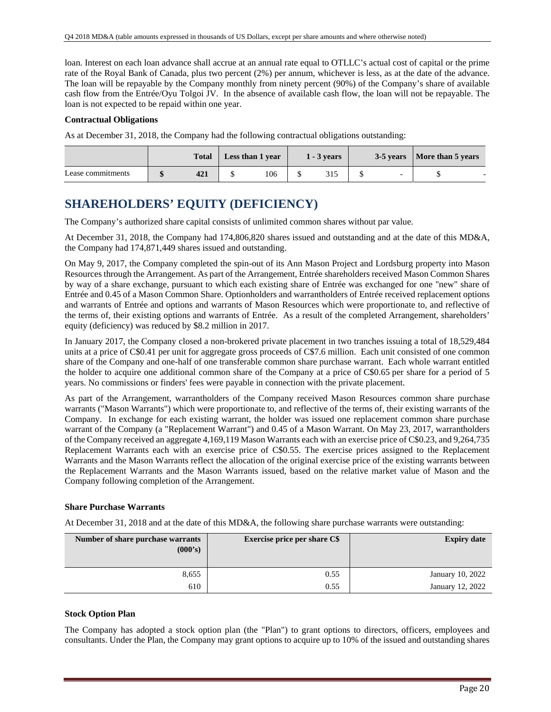loan. Interest on each loan advance shall accrue at an annual rate equal to OTLLC's actual cost of capital or the prime rate of the Royal Bank of Canada, plus two percent (2%) per annum, whichever is less, as at the date of the advance. The loan will be repayable by the Company monthly from ninety percent (90%) of the Company's share of available cash flow from the Entrée/Oyu Tolgoi JV. In the absence of available cash flow, the loan will not be repayable. The loan is not expected to be repaid within one year.

### **Contractual Obligations**

As at December 31, 2018, the Company had the following contractual obligations outstanding:

|                   | <b>Total</b> | Less than 1 year<br>$1 - 3$ years |     |  |  | 3-5 years   More than 5 years |  |  |
|-------------------|--------------|-----------------------------------|-----|--|--|-------------------------------|--|--|
| Lease commitments | 421          |                                   | 106 |  |  | $\overline{\phantom{0}}$      |  |  |

## **SHAREHOLDERS' EQUITY (DEFICIENCY)**

The Company's authorized share capital consists of unlimited common shares without par value.

At December 31, 2018, the Company had 174,806,820 shares issued and outstanding and at the date of this MD&A, the Company had 174,871,449 shares issued and outstanding.

On May 9, 2017, the Company completed the spin-out of its Ann Mason Project and Lordsburg property into Mason Resources through the Arrangement. As part of the Arrangement, Entrée shareholders received Mason Common Shares by way of a share exchange, pursuant to which each existing share of Entrée was exchanged for one "new" share of Entrée and 0.45 of a Mason Common Share. Optionholders and warrantholders of Entrée received replacement options and warrants of Entrée and options and warrants of Mason Resources which were proportionate to, and reflective of the terms of, their existing options and warrants of Entrée. As a result of the completed Arrangement, shareholders' equity (deficiency) was reduced by \$8.2 million in 2017.

In January 2017, the Company closed a non-brokered private placement in two tranches issuing a total of 18,529,484 units at a price of C\$0.41 per unit for aggregate gross proceeds of C\$7.6 million. Each unit consisted of one common share of the Company and one-half of one transferable common share purchase warrant. Each whole warrant entitled the holder to acquire one additional common share of the Company at a price of C\$0.65 per share for a period of 5 years. No commissions or finders' fees were payable in connection with the private placement.

As part of the Arrangement, warrantholders of the Company received Mason Resources common share purchase warrants ("Mason Warrants") which were proportionate to, and reflective of the terms of, their existing warrants of the Company. In exchange for each existing warrant, the holder was issued one replacement common share purchase warrant of the Company (a "Replacement Warrant") and 0.45 of a Mason Warrant. On May 23, 2017, warrantholders of the Company received an aggregate 4,169,119 Mason Warrants each with an exercise price of C\$0.23, and 9,264,735 Replacement Warrants each with an exercise price of C\$0.55. The exercise prices assigned to the Replacement Warrants and the Mason Warrants reflect the allocation of the original exercise price of the existing warrants between the Replacement Warrants and the Mason Warrants issued, based on the relative market value of Mason and the Company following completion of the Arrangement.

## **Share Purchase Warrants**

At December 31, 2018 and at the date of this MD&A, the following share purchase warrants were outstanding:

| Number of share purchase warrants<br>(000's) | <b>Exercise price per share C\$</b> | <b>Expiry date</b> |
|----------------------------------------------|-------------------------------------|--------------------|
| 8,655                                        | 0.55                                | January 10, 2022   |
| 610                                          | 0.55                                | January 12, 2022   |

#### **Stock Option Plan**

The Company has adopted a stock option plan (the "Plan") to grant options to directors, officers, employees and consultants. Under the Plan, the Company may grant options to acquire up to 10% of the issued and outstanding shares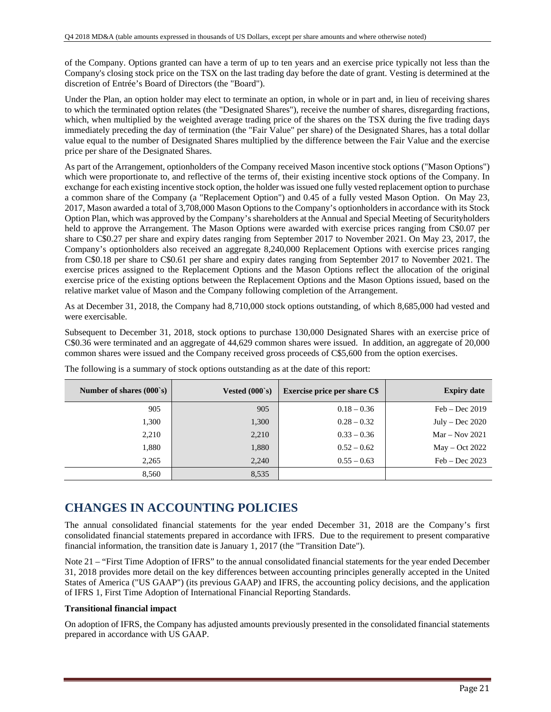of the Company. Options granted can have a term of up to ten years and an exercise price typically not less than the Company's closing stock price on the TSX on the last trading day before the date of grant. Vesting is determined at the discretion of Entrée's Board of Directors (the "Board").

Under the Plan, an option holder may elect to terminate an option, in whole or in part and, in lieu of receiving shares to which the terminated option relates (the "Designated Shares"), receive the number of shares, disregarding fractions, which, when multiplied by the weighted average trading price of the shares on the TSX during the five trading days immediately preceding the day of termination (the "Fair Value" per share) of the Designated Shares, has a total dollar value equal to the number of Designated Shares multiplied by the difference between the Fair Value and the exercise price per share of the Designated Shares.

As part of the Arrangement, optionholders of the Company received Mason incentive stock options ("Mason Options") which were proportionate to, and reflective of the terms of, their existing incentive stock options of the Company. In exchange for each existing incentive stock option, the holder was issued one fully vested replacement option to purchase a common share of the Company (a "Replacement Option") and 0.45 of a fully vested Mason Option. On May 23, 2017, Mason awarded a total of 3,708,000 Mason Options to the Company's optionholders in accordance with its Stock Option Plan, which was approved by the Company's shareholders at the Annual and Special Meeting of Securityholders held to approve the Arrangement. The Mason Options were awarded with exercise prices ranging from C\$0.07 per share to C\$0.27 per share and expiry dates ranging from September 2017 to November 2021. On May 23, 2017, the Company's optionholders also received an aggregate 8,240,000 Replacement Options with exercise prices ranging from C\$0.18 per share to C\$0.61 per share and expiry dates ranging from September 2017 to November 2021. The exercise prices assigned to the Replacement Options and the Mason Options reflect the allocation of the original exercise price of the existing options between the Replacement Options and the Mason Options issued, based on the relative market value of Mason and the Company following completion of the Arrangement.

As at December 31, 2018, the Company had 8,710,000 stock options outstanding, of which 8,685,000 had vested and were exercisable.

Subsequent to December 31, 2018, stock options to purchase 130,000 Designated Shares with an exercise price of C\$0.36 were terminated and an aggregate of 44,629 common shares were issued. In addition, an aggregate of 20,000 common shares were issued and the Company received gross proceeds of C\$5,600 from the option exercises.

| Number of shares $(000 \text{ s})$ | Vested $(000 \text{ s})$ | <b>Exercise price per share C\$</b> | <b>Expiry date</b> |
|------------------------------------|--------------------------|-------------------------------------|--------------------|
| 905                                | 905                      | $0.18 - 0.36$                       | $Feb - Dec 2019$   |
| 1,300                              | 1,300                    | $0.28 - 0.32$                       | July – Dec $2020$  |
| 2,210                              | 2,210                    | $0.33 - 0.36$                       | $Mar - Nov 2021$   |
| 1,880                              | 1,880                    | $0.52 - 0.62$                       | $May - Oct 2022$   |
| 2,265                              | 2,240                    | $0.55 - 0.63$                       | $Feb - Dec 2023$   |
| 8,560                              | 8,535                    |                                     |                    |

The following is a summary of stock options outstanding as at the date of this report:

## **CHANGES IN ACCOUNTING POLICIES**

The annual consolidated financial statements for the year ended December 31, 2018 are the Company's first consolidated financial statements prepared in accordance with IFRS. Due to the requirement to present comparative financial information, the transition date is January 1, 2017 (the "Transition Date").

Note 21 – "First Time Adoption of IFRS" to the annual consolidated financial statements for the year ended December 31, 2018 provides more detail on the key differences between accounting principles generally accepted in the United States of America ("US GAAP") (its previous GAAP) and IFRS, the accounting policy decisions, and the application of IFRS 1, First Time Adoption of International Financial Reporting Standards.

## **Transitional financial impact**

On adoption of IFRS, the Company has adjusted amounts previously presented in the consolidated financial statements prepared in accordance with US GAAP.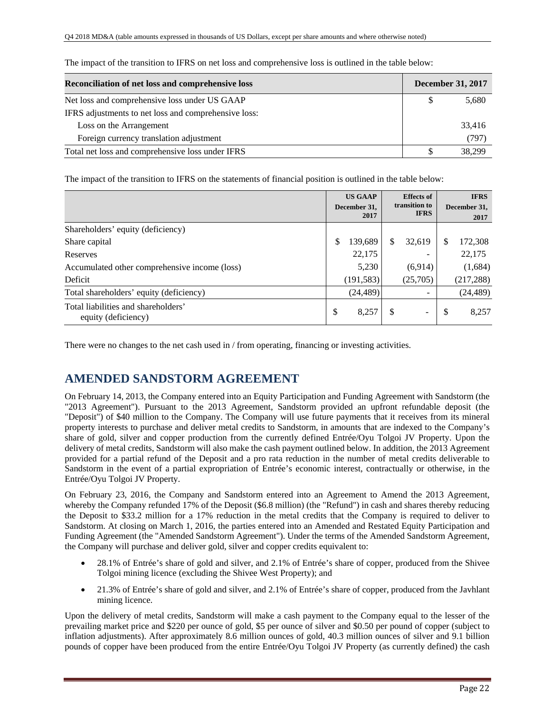| Reconciliation of net loss and comprehensive loss    | <b>December 31, 2017</b> |
|------------------------------------------------------|--------------------------|
| Net loss and comprehensive loss under US GAAP        | 5,680                    |
| IFRS adjustments to net loss and comprehensive loss: |                          |
| Loss on the Arrangement                              | 33,416                   |
| Foreign currency translation adjustment              | (797)                    |
| Total net loss and comprehensive loss under IFRS     | 38.299                   |

The impact of the transition to IFRS on net loss and comprehensive loss is outlined in the table below:

The impact of the transition to IFRS on the statements of financial position is outlined in the table below:

|                                                            | <b>US GAAP</b><br>December 31.<br>2017 | <b>Effects of</b><br>transition to<br><b>IFRS</b> |                          |    | <b>IFRS</b><br>December 31,<br>2017 |
|------------------------------------------------------------|----------------------------------------|---------------------------------------------------|--------------------------|----|-------------------------------------|
| Shareholders' equity (deficiency)                          |                                        |                                                   |                          |    |                                     |
| Share capital                                              | \$<br>139,689                          | S                                                 | 32,619                   | S  | 172,308                             |
| Reserves                                                   | 22,175                                 |                                                   |                          |    | 22,175                              |
| Accumulated other comprehensive income (loss)              | 5,230                                  |                                                   | (6,914)                  |    | (1,684)                             |
| Deficit                                                    | (191, 583)                             |                                                   | (25,705)                 |    | (217, 288)                          |
| Total shareholders' equity (deficiency)                    | (24, 489)                              |                                                   | ۰                        |    | (24, 489)                           |
| Total liabilities and shareholders'<br>equity (deficiency) | \$<br>8,257                            | S                                                 | $\overline{\phantom{0}}$ | \$ | 8,257                               |

There were no changes to the net cash used in / from operating, financing or investing activities.

## **AMENDED SANDSTORM AGREEMENT**

On February 14, 2013, the Company entered into an Equity Participation and Funding Agreement with Sandstorm (the "2013 Agreement"). Pursuant to the 2013 Agreement, Sandstorm provided an upfront refundable deposit (the "Deposit") of \$40 million to the Company. The Company will use future payments that it receives from its mineral property interests to purchase and deliver metal credits to Sandstorm, in amounts that are indexed to the Company's share of gold, silver and copper production from the currently defined Entrée/Oyu Tolgoi JV Property. Upon the delivery of metal credits, Sandstorm will also make the cash payment outlined below. In addition, the 2013 Agreement provided for a partial refund of the Deposit and a pro rata reduction in the number of metal credits deliverable to Sandstorm in the event of a partial expropriation of Entrée's economic interest, contractually or otherwise, in the Entrée/Oyu Tolgoi JV Property.

On February 23, 2016, the Company and Sandstorm entered into an Agreement to Amend the 2013 Agreement, whereby the Company refunded 17% of the Deposit (\$6.8 million) (the "Refund") in cash and shares thereby reducing the Deposit to \$33.2 million for a 17% reduction in the metal credits that the Company is required to deliver to Sandstorm. At closing on March 1, 2016, the parties entered into an Amended and Restated Equity Participation and Funding Agreement (the "Amended Sandstorm Agreement"). Under the terms of the Amended Sandstorm Agreement, the Company will purchase and deliver gold, silver and copper credits equivalent to:

- 28.1% of Entrée's share of gold and silver, and 2.1% of Entrée's share of copper, produced from the Shivee Tolgoi mining licence (excluding the Shivee West Property); and
- 21.3% of Entrée's share of gold and silver, and 2.1% of Entrée's share of copper, produced from the Javhlant mining licence.

Upon the delivery of metal credits, Sandstorm will make a cash payment to the Company equal to the lesser of the prevailing market price and \$220 per ounce of gold, \$5 per ounce of silver and \$0.50 per pound of copper (subject to inflation adjustments). After approximately 8.6 million ounces of gold, 40.3 million ounces of silver and 9.1 billion pounds of copper have been produced from the entire Entrée/Oyu Tolgoi JV Property (as currently defined) the cash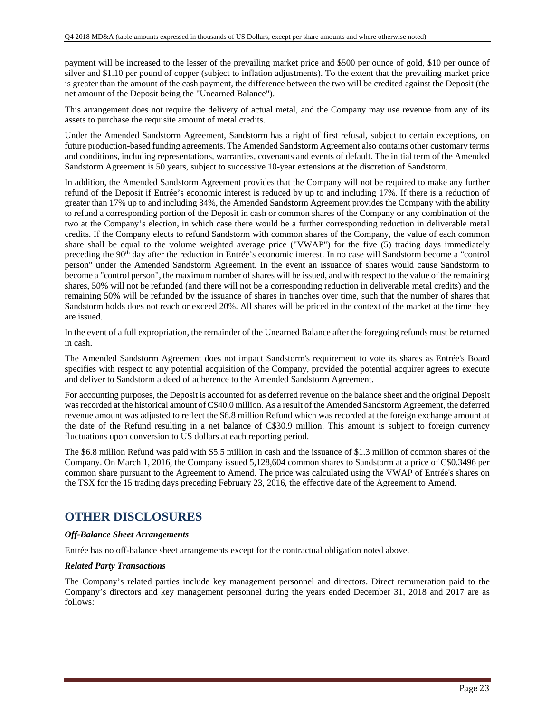payment will be increased to the lesser of the prevailing market price and \$500 per ounce of gold, \$10 per ounce of silver and \$1.10 per pound of copper (subject to inflation adjustments). To the extent that the prevailing market price is greater than the amount of the cash payment, the difference between the two will be credited against the Deposit (the net amount of the Deposit being the "Unearned Balance").

This arrangement does not require the delivery of actual metal, and the Company may use revenue from any of its assets to purchase the requisite amount of metal credits.

Under the Amended Sandstorm Agreement, Sandstorm has a right of first refusal, subject to certain exceptions, on future production-based funding agreements. The Amended Sandstorm Agreement also contains other customary terms and conditions, including representations, warranties, covenants and events of default. The initial term of the Amended Sandstorm Agreement is 50 years, subject to successive 10-year extensions at the discretion of Sandstorm.

In addition, the Amended Sandstorm Agreement provides that the Company will not be required to make any further refund of the Deposit if Entrée's economic interest is reduced by up to and including 17%. If there is a reduction of greater than 17% up to and including 34%, the Amended Sandstorm Agreement provides the Company with the ability to refund a corresponding portion of the Deposit in cash or common shares of the Company or any combination of the two at the Company's election, in which case there would be a further corresponding reduction in deliverable metal credits. If the Company elects to refund Sandstorm with common shares of the Company, the value of each common share shall be equal to the volume weighted average price ("VWAP") for the five (5) trading days immediately preceding the 90th day after the reduction in Entrée's economic interest. In no case will Sandstorm become a "control person" under the Amended Sandstorm Agreement. In the event an issuance of shares would cause Sandstorm to become a "control person", the maximum number of shares will be issued, and with respect to the value of the remaining shares, 50% will not be refunded (and there will not be a corresponding reduction in deliverable metal credits) and the remaining 50% will be refunded by the issuance of shares in tranches over time, such that the number of shares that Sandstorm holds does not reach or exceed 20%. All shares will be priced in the context of the market at the time they are issued.

In the event of a full expropriation, the remainder of the Unearned Balance after the foregoing refunds must be returned in cash.

The Amended Sandstorm Agreement does not impact Sandstorm's requirement to vote its shares as Entrée's Board specifies with respect to any potential acquisition of the Company, provided the potential acquirer agrees to execute and deliver to Sandstorm a deed of adherence to the Amended Sandstorm Agreement.

For accounting purposes, the Deposit is accounted for as deferred revenue on the balance sheet and the original Deposit was recorded at the historical amount of C\$40.0 million. As a result of the Amended Sandstorm Agreement, the deferred revenue amount was adjusted to reflect the \$6.8 million Refund which was recorded at the foreign exchange amount at the date of the Refund resulting in a net balance of C\$30.9 million. This amount is subject to foreign currency fluctuations upon conversion to US dollars at each reporting period.

The \$6.8 million Refund was paid with \$5.5 million in cash and the issuance of \$1.3 million of common shares of the Company. On March 1, 2016, the Company issued 5,128,604 common shares to Sandstorm at a price of C\$0.3496 per common share pursuant to the Agreement to Amend. The price was calculated using the VWAP of Entrée's shares on the TSX for the 15 trading days preceding February 23, 2016, the effective date of the Agreement to Amend.

## **OTHER DISCLOSURES**

## *Off-Balance Sheet Arrangements*

Entrée has no off-balance sheet arrangements except for the contractual obligation noted above.

## *Related Party Transactions*

The Company's related parties include key management personnel and directors. Direct remuneration paid to the Company's directors and key management personnel during the years ended December 31, 2018 and 2017 are as follows: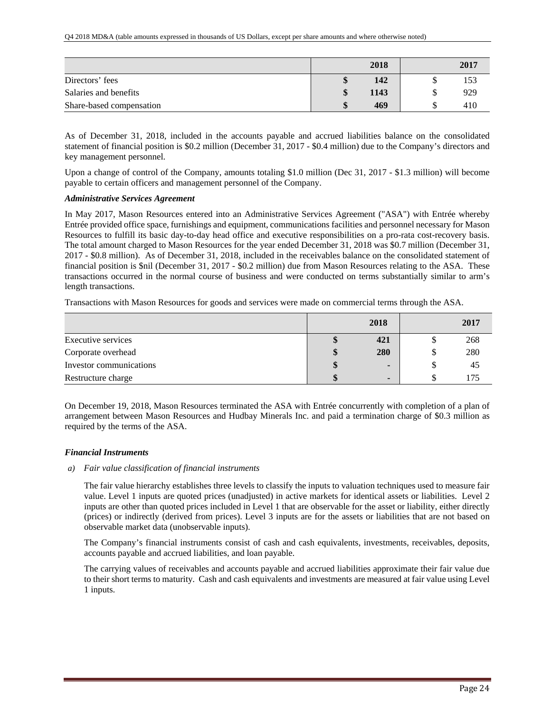|                          |     | 2018 | 2017 |
|--------------------------|-----|------|------|
| Directors' fees          | ъD. | 142  | 153  |
| Salaries and benefits    | ۱D. | 1143 | 929  |
| Share-based compensation | м   | 469  | 410  |

As of December 31, 2018, included in the accounts payable and accrued liabilities balance on the consolidated statement of financial position is \$0.2 million (December 31, 2017 - \$0.4 million) due to the Company's directors and key management personnel.

Upon a change of control of the Company, amounts totaling \$1.0 million (Dec 31, 2017 - \$1.3 million) will become payable to certain officers and management personnel of the Company.

#### *Administrative Services Agreement*

In May 2017, Mason Resources entered into an Administrative Services Agreement ("ASA") with Entrée whereby Entrée provided office space, furnishings and equipment, communications facilities and personnel necessary for Mason Resources to fulfill its basic day-to-day head office and executive responsibilities on a pro-rata cost-recovery basis. The total amount charged to Mason Resources for the year ended December 31, 2018 was \$0.7 million (December 31, 2017 - \$0.8 million). As of December 31, 2018, included in the receivables balance on the consolidated statement of financial position is \$nil (December 31, 2017 - \$0.2 million) due from Mason Resources relating to the ASA. These transactions occurred in the normal course of business and were conducted on terms substantially similar to arm's length transactions.

Transactions with Mason Resources for goods and services were made on commercial terms through the ASA.

|                         | 2018           | 2017 |
|-------------------------|----------------|------|
| Executive services      | 421            | 268  |
| Corporate overhead      | 280            | 280  |
| Investor communications | $\blacksquare$ | 45   |
| Restructure charge      | -              | l 75 |

On December 19, 2018, Mason Resources terminated the ASA with Entrée concurrently with completion of a plan of arrangement between Mason Resources and Hudbay Minerals Inc. and paid a termination charge of \$0.3 million as required by the terms of the ASA.

## *Financial Instruments*

#### *a) Fair value classification of financial instruments*

The fair value hierarchy establishes three levels to classify the inputs to valuation techniques used to measure fair value. Level 1 inputs are quoted prices (unadjusted) in active markets for identical assets or liabilities. Level 2 inputs are other than quoted prices included in Level 1 that are observable for the asset or liability, either directly (prices) or indirectly (derived from prices). Level 3 inputs are for the assets or liabilities that are not based on observable market data (unobservable inputs).

The Company's financial instruments consist of cash and cash equivalents, investments, receivables, deposits, accounts payable and accrued liabilities, and loan payable.

The carrying values of receivables and accounts payable and accrued liabilities approximate their fair value due to their short terms to maturity. Cash and cash equivalents and investments are measured at fair value using Level 1 inputs.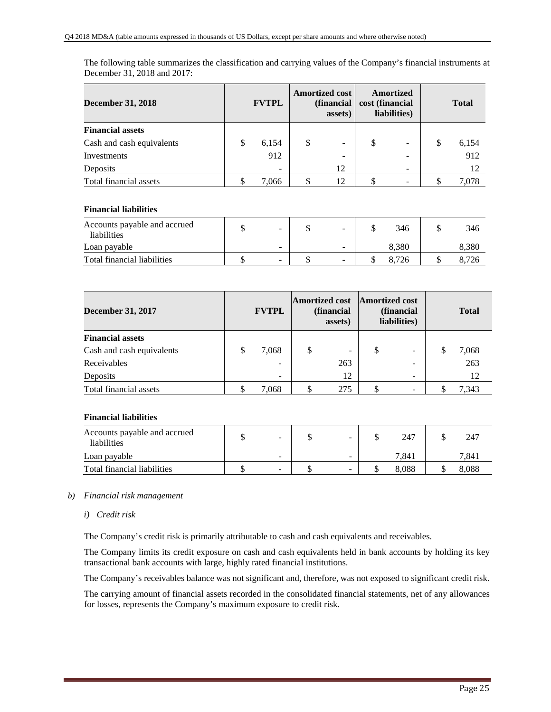The following table summarizes the classification and carrying values of the Company's financial instruments at December 31, 2018 and 2017:

| <b>December 31, 2018</b>  | <b>FVTPL</b> |                          | <b>Amortized cost</b><br>(financial<br>assets) |    | cost (financial | Amortized<br>liabilities) | <b>Total</b> |
|---------------------------|--------------|--------------------------|------------------------------------------------|----|-----------------|---------------------------|--------------|
| <b>Financial assets</b>   |              |                          |                                                |    |                 |                           |              |
| Cash and cash equivalents | \$           | 6,154                    | \$                                             | -  | \$              |                           | \$<br>6,154  |
| Investments               |              | 912                      |                                                | -  |                 |                           | 912          |
| Deposits                  |              | $\overline{\phantom{a}}$ |                                                | 12 |                 | $\overline{\phantom{0}}$  | 12           |
| Total financial assets    |              | 7,066                    |                                                | 12 |                 |                           | 7,078        |

## **Financial liabilities**

| Accounts payable and accrued<br>liabilities | -                        | -        | 346   | 346   |
|---------------------------------------------|--------------------------|----------|-------|-------|
| Loan payable                                | $\overline{\phantom{a}}$ | $\sim$   | 8.380 | 8.380 |
| Total financial liabilities                 | $\overline{\phantom{a}}$ | $\equiv$ | 8.726 | 8.726 |

| <b>December 31, 2017</b>  | <b>FVTPL</b> |       | <b>Amortized cost</b><br><b>Amortized cost</b><br>(financial<br>(financial<br>liabilities)<br>assets) |     |   | <b>Total</b>             |             |
|---------------------------|--------------|-------|-------------------------------------------------------------------------------------------------------|-----|---|--------------------------|-------------|
| <b>Financial assets</b>   |              |       |                                                                                                       |     |   |                          |             |
| Cash and cash equivalents | S            | 7,068 | \$                                                                                                    | ۰   | S | $\overline{\phantom{a}}$ | \$<br>7,068 |
| Receivables               |              | -     |                                                                                                       | 263 |   | $\overline{\phantom{a}}$ | 263         |
| Deposits                  |              |       |                                                                                                       | 12  |   | $\overline{\phantom{a}}$ | 12          |
| Total financial assets    |              | 7.068 |                                                                                                       | 275 |   |                          | 7.343       |

## **Financial liabilities**

| Accounts payable and accrued<br>liabilities | $\sim$ | - | 247   | 247   |
|---------------------------------------------|--------|---|-------|-------|
| Loan payable                                | -      | - | 7.841 | 7.841 |
| Total financial liabilities                 | $\sim$ | - | 8.088 | 8.088 |

#### *b) Financial risk management*

#### *i) Credit risk*

The Company's credit risk is primarily attributable to cash and cash equivalents and receivables.

The Company limits its credit exposure on cash and cash equivalents held in bank accounts by holding its key transactional bank accounts with large, highly rated financial institutions.

The Company's receivables balance was not significant and, therefore, was not exposed to significant credit risk.

The carrying amount of financial assets recorded in the consolidated financial statements, net of any allowances for losses, represents the Company's maximum exposure to credit risk.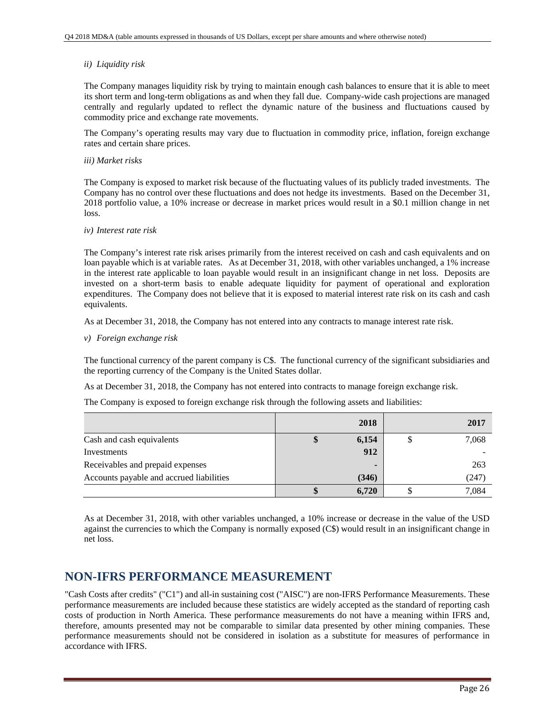## *ii) Liquidity risk*

The Company manages liquidity risk by trying to maintain enough cash balances to ensure that it is able to meet its short term and long-term obligations as and when they fall due. Company-wide cash projections are managed centrally and regularly updated to reflect the dynamic nature of the business and fluctuations caused by commodity price and exchange rate movements.

The Company's operating results may vary due to fluctuation in commodity price, inflation, foreign exchange rates and certain share prices.

#### *iii) Market risks*

The Company is exposed to market risk because of the fluctuating values of its publicly traded investments. The Company has no control over these fluctuations and does not hedge its investments. Based on the December 31, 2018 portfolio value, a 10% increase or decrease in market prices would result in a \$0.1 million change in net loss.

#### *iv) Interest rate risk*

The Company's interest rate risk arises primarily from the interest received on cash and cash equivalents and on loan payable which is at variable rates. As at December 31, 2018, with other variables unchanged, a 1% increase in the interest rate applicable to loan payable would result in an insignificant change in net loss. Deposits are invested on a short-term basis to enable adequate liquidity for payment of operational and exploration expenditures. The Company does not believe that it is exposed to material interest rate risk on its cash and cash equivalents.

As at December 31, 2018, the Company has not entered into any contracts to manage interest rate risk.

*v) Foreign exchange risk* 

The functional currency of the parent company is C\$. The functional currency of the significant subsidiaries and the reporting currency of the Company is the United States dollar.

As at December 31, 2018, the Company has not entered into contracts to manage foreign exchange risk.

The Company is exposed to foreign exchange risk through the following assets and liabilities:

|                                          | 2018           | 2017        |
|------------------------------------------|----------------|-------------|
| Cash and cash equivalents                | \$<br>6,154    | \$<br>7,068 |
| Investments                              | 912            |             |
| Receivables and prepaid expenses         | $\blacksquare$ | 263         |
| Accounts payable and accrued liabilities | (346)          | (247)       |
|                                          | 6,720          | 7,084       |

As at December 31, 2018, with other variables unchanged, a 10% increase or decrease in the value of the USD against the currencies to which the Company is normally exposed (C\$) would result in an insignificant change in net loss.

## **NON-IFRS PERFORMANCE MEASUREMENT**

"Cash Costs after credits" ("C1") and all-in sustaining cost ("AISC") are non-IFRS Performance Measurements. These performance measurements are included because these statistics are widely accepted as the standard of reporting cash costs of production in North America. These performance measurements do not have a meaning within IFRS and, therefore, amounts presented may not be comparable to similar data presented by other mining companies. These performance measurements should not be considered in isolation as a substitute for measures of performance in accordance with IFRS.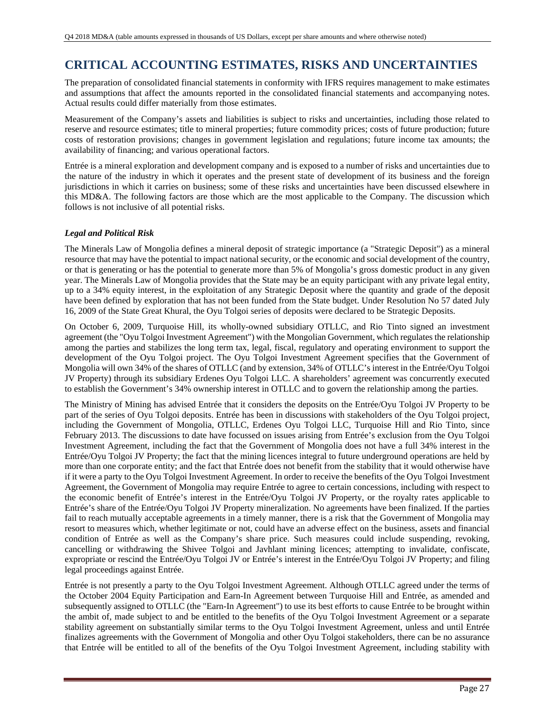# **CRITICAL ACCOUNTING ESTIMATES, RISKS AND UNCERTAINTIES**

The preparation of consolidated financial statements in conformity with IFRS requires management to make estimates and assumptions that affect the amounts reported in the consolidated financial statements and accompanying notes. Actual results could differ materially from those estimates.

Measurement of the Company's assets and liabilities is subject to risks and uncertainties, including those related to reserve and resource estimates; title to mineral properties; future commodity prices; costs of future production; future costs of restoration provisions; changes in government legislation and regulations; future income tax amounts; the availability of financing; and various operational factors.

Entrée is a mineral exploration and development company and is exposed to a number of risks and uncertainties due to the nature of the industry in which it operates and the present state of development of its business and the foreign jurisdictions in which it carries on business; some of these risks and uncertainties have been discussed elsewhere in this MD&A. The following factors are those which are the most applicable to the Company. The discussion which follows is not inclusive of all potential risks.

## *Legal and Political Risk*

The Minerals Law of Mongolia defines a mineral deposit of strategic importance (a "Strategic Deposit") as a mineral resource that may have the potential to impact national security, or the economic and social development of the country, or that is generating or has the potential to generate more than 5% of Mongolia's gross domestic product in any given year. The Minerals Law of Mongolia provides that the State may be an equity participant with any private legal entity, up to a 34% equity interest, in the exploitation of any Strategic Deposit where the quantity and grade of the deposit have been defined by exploration that has not been funded from the State budget. Under Resolution No 57 dated July 16, 2009 of the State Great Khural, the Oyu Tolgoi series of deposits were declared to be Strategic Deposits.

On October 6, 2009, Turquoise Hill, its wholly-owned subsidiary OTLLC, and Rio Tinto signed an investment agreement (the "Oyu Tolgoi Investment Agreement") with the Mongolian Government, which regulates the relationship among the parties and stabilizes the long term tax, legal, fiscal, regulatory and operating environment to support the development of the Oyu Tolgoi project. The Oyu Tolgoi Investment Agreement specifies that the Government of Mongolia will own 34% of the shares of OTLLC (and by extension, 34% of OTLLC's interest in the Entrée/Oyu Tolgoi JV Property) through its subsidiary Erdenes Oyu Tolgoi LLC. A shareholders' agreement was concurrently executed to establish the Government's 34% ownership interest in OTLLC and to govern the relationship among the parties.

The Ministry of Mining has advised Entrée that it considers the deposits on the Entrée/Oyu Tolgoi JV Property to be part of the series of Oyu Tolgoi deposits. Entrée has been in discussions with stakeholders of the Oyu Tolgoi project, including the Government of Mongolia, OTLLC, Erdenes Oyu Tolgoi LLC, Turquoise Hill and Rio Tinto, since February 2013. The discussions to date have focussed on issues arising from Entrée's exclusion from the Oyu Tolgoi Investment Agreement, including the fact that the Government of Mongolia does not have a full 34% interest in the Entrée/Oyu Tolgoi JV Property; the fact that the mining licences integral to future underground operations are held by more than one corporate entity; and the fact that Entrée does not benefit from the stability that it would otherwise have if it were a party to the Oyu Tolgoi Investment Agreement. In order to receive the benefits of the Oyu Tolgoi Investment Agreement, the Government of Mongolia may require Entrée to agree to certain concessions, including with respect to the economic benefit of Entrée's interest in the Entrée/Oyu Tolgoi JV Property, or the royalty rates applicable to Entrée's share of the Entrée/Oyu Tolgoi JV Property mineralization. No agreements have been finalized. If the parties fail to reach mutually acceptable agreements in a timely manner, there is a risk that the Government of Mongolia may resort to measures which, whether legitimate or not, could have an adverse effect on the business, assets and financial condition of Entrée as well as the Company's share price. Such measures could include suspending, revoking, cancelling or withdrawing the Shivee Tolgoi and Javhlant mining licences; attempting to invalidate, confiscate, expropriate or rescind the Entrée/Oyu Tolgoi JV or Entrée's interest in the Entrée/Oyu Tolgoi JV Property; and filing legal proceedings against Entrée.

Entrée is not presently a party to the Oyu Tolgoi Investment Agreement. Although OTLLC agreed under the terms of the October 2004 Equity Participation and Earn-In Agreement between Turquoise Hill and Entrée, as amended and subsequently assigned to OTLLC (the "Earn-In Agreement") to use its best efforts to cause Entrée to be brought within the ambit of, made subject to and be entitled to the benefits of the Oyu Tolgoi Investment Agreement or a separate stability agreement on substantially similar terms to the Oyu Tolgoi Investment Agreement, unless and until Entrée finalizes agreements with the Government of Mongolia and other Oyu Tolgoi stakeholders, there can be no assurance that Entrée will be entitled to all of the benefits of the Oyu Tolgoi Investment Agreement, including stability with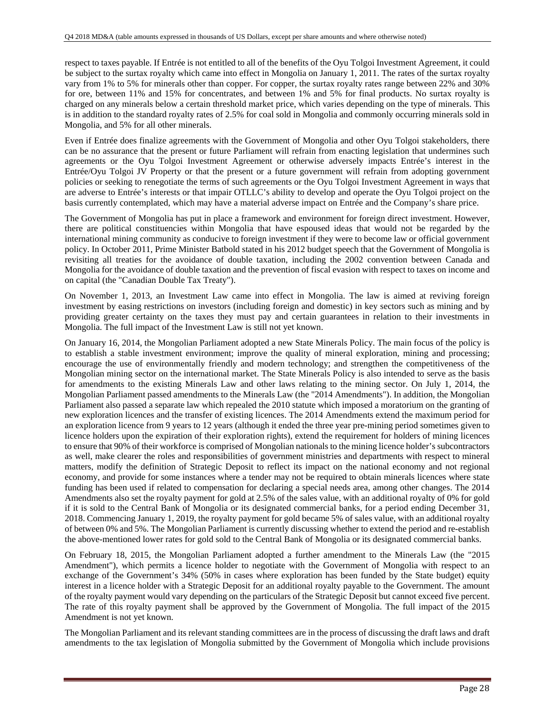respect to taxes payable. If Entrée is not entitled to all of the benefits of the Oyu Tolgoi Investment Agreement, it could be subject to the surtax royalty which came into effect in Mongolia on January 1, 2011. The rates of the surtax royalty vary from 1% to 5% for minerals other than copper. For copper, the surtax royalty rates range between 22% and 30% for ore, between 11% and 15% for concentrates, and between 1% and 5% for final products. No surtax royalty is charged on any minerals below a certain threshold market price, which varies depending on the type of minerals. This is in addition to the standard royalty rates of 2.5% for coal sold in Mongolia and commonly occurring minerals sold in Mongolia, and 5% for all other minerals.

Even if Entrée does finalize agreements with the Government of Mongolia and other Oyu Tolgoi stakeholders, there can be no assurance that the present or future Parliament will refrain from enacting legislation that undermines such agreements or the Oyu Tolgoi Investment Agreement or otherwise adversely impacts Entrée's interest in the Entrée/Oyu Tolgoi JV Property or that the present or a future government will refrain from adopting government policies or seeking to renegotiate the terms of such agreements or the Oyu Tolgoi Investment Agreement in ways that are adverse to Entrée's interests or that impair OTLLC's ability to develop and operate the Oyu Tolgoi project on the basis currently contemplated, which may have a material adverse impact on Entrée and the Company's share price.

The Government of Mongolia has put in place a framework and environment for foreign direct investment. However, there are political constituencies within Mongolia that have espoused ideas that would not be regarded by the international mining community as conducive to foreign investment if they were to become law or official government policy. In October 2011, Prime Minister Batbold stated in his 2012 budget speech that the Government of Mongolia is revisiting all treaties for the avoidance of double taxation, including the 2002 convention between Canada and Mongolia for the avoidance of double taxation and the prevention of fiscal evasion with respect to taxes on income and on capital (the "Canadian Double Tax Treaty").

On November 1, 2013, an Investment Law came into effect in Mongolia. The law is aimed at reviving foreign investment by easing restrictions on investors (including foreign and domestic) in key sectors such as mining and by providing greater certainty on the taxes they must pay and certain guarantees in relation to their investments in Mongolia. The full impact of the Investment Law is still not yet known.

On January 16, 2014, the Mongolian Parliament adopted a new State Minerals Policy. The main focus of the policy is to establish a stable investment environment; improve the quality of mineral exploration, mining and processing; encourage the use of environmentally friendly and modern technology; and strengthen the competitiveness of the Mongolian mining sector on the international market. The State Minerals Policy is also intended to serve as the basis for amendments to the existing Minerals Law and other laws relating to the mining sector. On July 1, 2014, the Mongolian Parliament passed amendments to the Minerals Law (the "2014 Amendments"). In addition, the Mongolian Parliament also passed a separate law which repealed the 2010 statute which imposed a moratorium on the granting of new exploration licences and the transfer of existing licences. The 2014 Amendments extend the maximum period for an exploration licence from 9 years to 12 years (although it ended the three year pre-mining period sometimes given to licence holders upon the expiration of their exploration rights), extend the requirement for holders of mining licences to ensure that 90% of their workforce is comprised of Mongolian nationals to the mining licence holder's subcontractors as well, make clearer the roles and responsibilities of government ministries and departments with respect to mineral matters, modify the definition of Strategic Deposit to reflect its impact on the national economy and not regional economy, and provide for some instances where a tender may not be required to obtain minerals licences where state funding has been used if related to compensation for declaring a special needs area, among other changes. The 2014 Amendments also set the royalty payment for gold at 2.5% of the sales value, with an additional royalty of 0% for gold if it is sold to the Central Bank of Mongolia or its designated commercial banks, for a period ending December 31, 2018. Commencing January 1, 2019, the royalty payment for gold became 5% of sales value, with an additional royalty of between 0% and 5%. The Mongolian Parliament is currently discussing whether to extend the period and re-establish the above-mentioned lower rates for gold sold to the Central Bank of Mongolia or its designated commercial banks.

On February 18, 2015, the Mongolian Parliament adopted a further amendment to the Minerals Law (the "2015 Amendment"), which permits a licence holder to negotiate with the Government of Mongolia with respect to an exchange of the Government's 34% (50% in cases where exploration has been funded by the State budget) equity interest in a licence holder with a Strategic Deposit for an additional royalty payable to the Government. The amount of the royalty payment would vary depending on the particulars of the Strategic Deposit but cannot exceed five percent. The rate of this royalty payment shall be approved by the Government of Mongolia. The full impact of the 2015 Amendment is not yet known.

The Mongolian Parliament and its relevant standing committees are in the process of discussing the draft laws and draft amendments to the tax legislation of Mongolia submitted by the Government of Mongolia which include provisions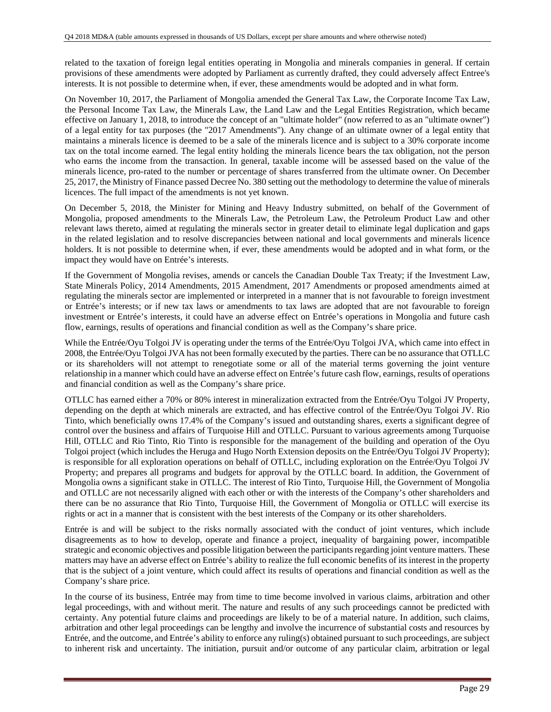related to the taxation of foreign legal entities operating in Mongolia and minerals companies in general. If certain provisions of these amendments were adopted by Parliament as currently drafted, they could adversely affect Entree's interests. It is not possible to determine when, if ever, these amendments would be adopted and in what form.

On November 10, 2017, the Parliament of Mongolia amended the General Tax Law, the Corporate Income Tax Law, the Personal Income Tax Law, the Minerals Law, the Land Law and the Legal Entities Registration, which became effective on January 1, 2018, to introduce the concept of an "ultimate holder" (now referred to as an "ultimate owner") of a legal entity for tax purposes (the "2017 Amendments"). Any change of an ultimate owner of a legal entity that maintains a minerals licence is deemed to be a sale of the minerals licence and is subject to a 30% corporate income tax on the total income earned. The legal entity holding the minerals licence bears the tax obligation, not the person who earns the income from the transaction. In general, taxable income will be assessed based on the value of the minerals licence, pro-rated to the number or percentage of shares transferred from the ultimate owner. On December 25, 2017, the Ministry of Finance passed Decree No. 380 setting out the methodology to determine the value of minerals licences. The full impact of the amendments is not yet known.

On December 5, 2018, the Minister for Mining and Heavy Industry submitted, on behalf of the Government of Mongolia, proposed amendments to the Minerals Law, the Petroleum Law, the Petroleum Product Law and other relevant laws thereto, aimed at regulating the minerals sector in greater detail to eliminate legal duplication and gaps in the related legislation and to resolve discrepancies between national and local governments and minerals licence holders. It is not possible to determine when, if ever, these amendments would be adopted and in what form, or the impact they would have on Entrée's interests.

If the Government of Mongolia revises, amends or cancels the Canadian Double Tax Treaty; if the Investment Law, State Minerals Policy, 2014 Amendments, 2015 Amendment, 2017 Amendments or proposed amendments aimed at regulating the minerals sector are implemented or interpreted in a manner that is not favourable to foreign investment or Entrée's interests; or if new tax laws or amendments to tax laws are adopted that are not favourable to foreign investment or Entrée's interests, it could have an adverse effect on Entrée's operations in Mongolia and future cash flow, earnings, results of operations and financial condition as well as the Company's share price.

While the Entrée/Oyu Tolgoi JV is operating under the terms of the Entrée/Oyu Tolgoi JVA, which came into effect in 2008, the Entrée/Oyu Tolgoi JVA has not been formally executed by the parties. There can be no assurance that OTLLC or its shareholders will not attempt to renegotiate some or all of the material terms governing the joint venture relationship in a manner which could have an adverse effect on Entrée's future cash flow, earnings, results of operations and financial condition as well as the Company's share price.

OTLLC has earned either a 70% or 80% interest in mineralization extracted from the Entrée/Oyu Tolgoi JV Property, depending on the depth at which minerals are extracted, and has effective control of the Entrée/Oyu Tolgoi JV. Rio Tinto, which beneficially owns 17.4% of the Company's issued and outstanding shares, exerts a significant degree of control over the business and affairs of Turquoise Hill and OTLLC. Pursuant to various agreements among Turquoise Hill, OTLLC and Rio Tinto, Rio Tinto is responsible for the management of the building and operation of the Oyu Tolgoi project (which includes the Heruga and Hugo North Extension deposits on the Entrée/Oyu Tolgoi JV Property); is responsible for all exploration operations on behalf of OTLLC, including exploration on the Entrée/Oyu Tolgoi JV Property; and prepares all programs and budgets for approval by the OTLLC board. In addition, the Government of Mongolia owns a significant stake in OTLLC. The interest of Rio Tinto, Turquoise Hill, the Government of Mongolia and OTLLC are not necessarily aligned with each other or with the interests of the Company's other shareholders and there can be no assurance that Rio Tinto, Turquoise Hill, the Government of Mongolia or OTLLC will exercise its rights or act in a manner that is consistent with the best interests of the Company or its other shareholders.

Entrée is and will be subject to the risks normally associated with the conduct of joint ventures, which include disagreements as to how to develop, operate and finance a project, inequality of bargaining power, incompatible strategic and economic objectives and possible litigation between the participants regarding joint venture matters. These matters may have an adverse effect on Entrée's ability to realize the full economic benefits of its interest in the property that is the subject of a joint venture, which could affect its results of operations and financial condition as well as the Company's share price.

In the course of its business, Entrée may from time to time become involved in various claims, arbitration and other legal proceedings, with and without merit. The nature and results of any such proceedings cannot be predicted with certainty. Any potential future claims and proceedings are likely to be of a material nature. In addition, such claims, arbitration and other legal proceedings can be lengthy and involve the incurrence of substantial costs and resources by Entrée, and the outcome, and Entrée's ability to enforce any ruling(s) obtained pursuant to such proceedings, are subject to inherent risk and uncertainty. The initiation, pursuit and/or outcome of any particular claim, arbitration or legal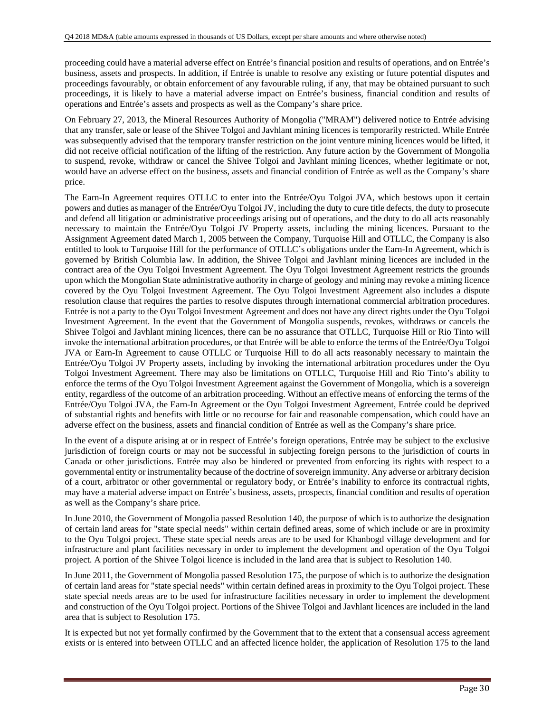proceeding could have a material adverse effect on Entrée's financial position and results of operations, and on Entrée's business, assets and prospects. In addition, if Entrée is unable to resolve any existing or future potential disputes and proceedings favourably, or obtain enforcement of any favourable ruling, if any, that may be obtained pursuant to such proceedings, it is likely to have a material adverse impact on Entrée's business, financial condition and results of operations and Entrée's assets and prospects as well as the Company's share price.

On February 27, 2013, the Mineral Resources Authority of Mongolia ("MRAM") delivered notice to Entrée advising that any transfer, sale or lease of the Shivee Tolgoi and Javhlant mining licences is temporarily restricted. While Entrée was subsequently advised that the temporary transfer restriction on the joint venture mining licences would be lifted, it did not receive official notification of the lifting of the restriction. Any future action by the Government of Mongolia to suspend, revoke, withdraw or cancel the Shivee Tolgoi and Javhlant mining licences, whether legitimate or not, would have an adverse effect on the business, assets and financial condition of Entrée as well as the Company's share price.

The Earn-In Agreement requires OTLLC to enter into the Entrée/Oyu Tolgoi JVA, which bestows upon it certain powers and duties as manager of the Entrée/Oyu Tolgoi JV, including the duty to cure title defects, the duty to prosecute and defend all litigation or administrative proceedings arising out of operations, and the duty to do all acts reasonably necessary to maintain the Entrée/Oyu Tolgoi JV Property assets, including the mining licences. Pursuant to the Assignment Agreement dated March 1, 2005 between the Company, Turquoise Hill and OTLLC, the Company is also entitled to look to Turquoise Hill for the performance of OTLLC's obligations under the Earn-In Agreement, which is governed by British Columbia law. In addition, the Shivee Tolgoi and Javhlant mining licences are included in the contract area of the Oyu Tolgoi Investment Agreement. The Oyu Tolgoi Investment Agreement restricts the grounds upon which the Mongolian State administrative authority in charge of geology and mining may revoke a mining licence covered by the Oyu Tolgoi Investment Agreement. The Oyu Tolgoi Investment Agreement also includes a dispute resolution clause that requires the parties to resolve disputes through international commercial arbitration procedures. Entrée is not a party to the Oyu Tolgoi Investment Agreement and does not have any direct rights under the Oyu Tolgoi Investment Agreement. In the event that the Government of Mongolia suspends, revokes, withdraws or cancels the Shivee Tolgoi and Javhlant mining licences, there can be no assurance that OTLLC, Turquoise Hill or Rio Tinto will invoke the international arbitration procedures, or that Entrée will be able to enforce the terms of the Entrée/Oyu Tolgoi JVA or Earn-In Agreement to cause OTLLC or Turquoise Hill to do all acts reasonably necessary to maintain the Entrée/Oyu Tolgoi JV Property assets, including by invoking the international arbitration procedures under the Oyu Tolgoi Investment Agreement. There may also be limitations on OTLLC, Turquoise Hill and Rio Tinto's ability to enforce the terms of the Oyu Tolgoi Investment Agreement against the Government of Mongolia, which is a sovereign entity, regardless of the outcome of an arbitration proceeding. Without an effective means of enforcing the terms of the Entrée/Oyu Tolgoi JVA, the Earn-In Agreement or the Oyu Tolgoi Investment Agreement, Entrée could be deprived of substantial rights and benefits with little or no recourse for fair and reasonable compensation, which could have an adverse effect on the business, assets and financial condition of Entrée as well as the Company's share price.

In the event of a dispute arising at or in respect of Entrée's foreign operations, Entrée may be subject to the exclusive jurisdiction of foreign courts or may not be successful in subjecting foreign persons to the jurisdiction of courts in Canada or other jurisdictions. Entrée may also be hindered or prevented from enforcing its rights with respect to a governmental entity or instrumentality because of the doctrine of sovereign immunity. Any adverse or arbitrary decision of a court, arbitrator or other governmental or regulatory body, or Entrée's inability to enforce its contractual rights, may have a material adverse impact on Entrée's business, assets, prospects, financial condition and results of operation as well as the Company's share price.

In June 2010, the Government of Mongolia passed Resolution 140, the purpose of which is to authorize the designation of certain land areas for "state special needs" within certain defined areas, some of which include or are in proximity to the Oyu Tolgoi project. These state special needs areas are to be used for Khanbogd village development and for infrastructure and plant facilities necessary in order to implement the development and operation of the Oyu Tolgoi project. A portion of the Shivee Tolgoi licence is included in the land area that is subject to Resolution 140.

In June 2011, the Government of Mongolia passed Resolution 175, the purpose of which is to authorize the designation of certain land areas for "state special needs" within certain defined areas in proximity to the Oyu Tolgoi project. These state special needs areas are to be used for infrastructure facilities necessary in order to implement the development and construction of the Oyu Tolgoi project. Portions of the Shivee Tolgoi and Javhlant licences are included in the land area that is subject to Resolution 175.

It is expected but not yet formally confirmed by the Government that to the extent that a consensual access agreement exists or is entered into between OTLLC and an affected licence holder, the application of Resolution 175 to the land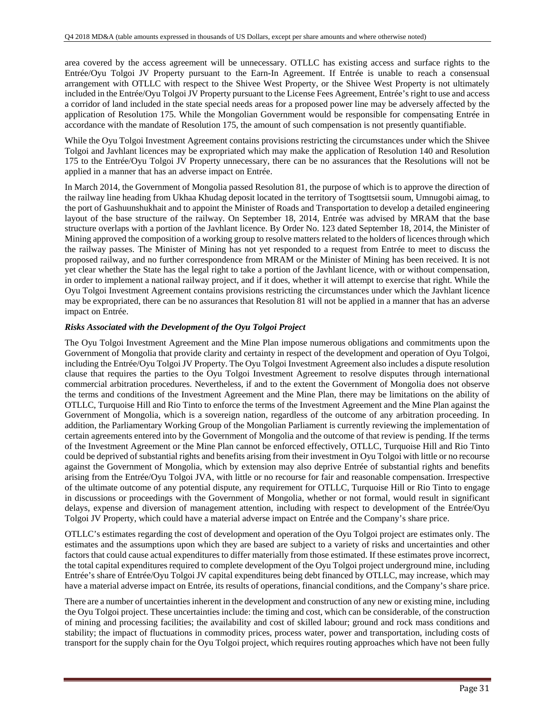area covered by the access agreement will be unnecessary. OTLLC has existing access and surface rights to the Entrée/Oyu Tolgoi JV Property pursuant to the Earn-In Agreement. If Entrée is unable to reach a consensual arrangement with OTLLC with respect to the Shivee West Property, or the Shivee West Property is not ultimately included in the Entrée/Oyu Tolgoi JV Property pursuant to the License Fees Agreement, Entrée's right to use and access a corridor of land included in the state special needs areas for a proposed power line may be adversely affected by the application of Resolution 175. While the Mongolian Government would be responsible for compensating Entrée in accordance with the mandate of Resolution 175, the amount of such compensation is not presently quantifiable.

While the Oyu Tolgoi Investment Agreement contains provisions restricting the circumstances under which the Shivee Tolgoi and Javhlant licences may be expropriated which may make the application of Resolution 140 and Resolution 175 to the Entrée/Oyu Tolgoi JV Property unnecessary, there can be no assurances that the Resolutions will not be applied in a manner that has an adverse impact on Entrée.

In March 2014, the Government of Mongolia passed Resolution 81, the purpose of which is to approve the direction of the railway line heading from Ukhaa Khudag deposit located in the territory of Tsogttsetsii soum, Umnugobi aimag, to the port of Gashuunshukhait and to appoint the Minister of Roads and Transportation to develop a detailed engineering layout of the base structure of the railway. On September 18, 2014, Entrée was advised by MRAM that the base structure overlaps with a portion of the Javhlant licence. By Order No. 123 dated September 18, 2014, the Minister of Mining approved the composition of a working group to resolve matters related to the holders of licences through which the railway passes. The Minister of Mining has not yet responded to a request from Entrée to meet to discuss the proposed railway, and no further correspondence from MRAM or the Minister of Mining has been received. It is not yet clear whether the State has the legal right to take a portion of the Javhlant licence, with or without compensation, in order to implement a national railway project, and if it does, whether it will attempt to exercise that right. While the Oyu Tolgoi Investment Agreement contains provisions restricting the circumstances under which the Javhlant licence may be expropriated, there can be no assurances that Resolution 81 will not be applied in a manner that has an adverse impact on Entrée.

## *Risks Associated with the Development of the Oyu Tolgoi Project*

The Oyu Tolgoi Investment Agreement and the Mine Plan impose numerous obligations and commitments upon the Government of Mongolia that provide clarity and certainty in respect of the development and operation of Oyu Tolgoi, including the Entrée/Oyu Tolgoi JV Property. The Oyu Tolgoi Investment Agreement also includes a dispute resolution clause that requires the parties to the Oyu Tolgoi Investment Agreement to resolve disputes through international commercial arbitration procedures. Nevertheless, if and to the extent the Government of Mongolia does not observe the terms and conditions of the Investment Agreement and the Mine Plan, there may be limitations on the ability of OTLLC, Turquoise Hill and Rio Tinto to enforce the terms of the Investment Agreement and the Mine Plan against the Government of Mongolia, which is a sovereign nation, regardless of the outcome of any arbitration proceeding. In addition, the Parliamentary Working Group of the Mongolian Parliament is currently reviewing the implementation of certain agreements entered into by the Government of Mongolia and the outcome of that review is pending. If the terms of the Investment Agreement or the Mine Plan cannot be enforced effectively, OTLLC, Turquoise Hill and Rio Tinto could be deprived of substantial rights and benefits arising from their investment in Oyu Tolgoi with little or no recourse against the Government of Mongolia, which by extension may also deprive Entrée of substantial rights and benefits arising from the Entrée/Oyu Tolgoi JVA, with little or no recourse for fair and reasonable compensation. Irrespective of the ultimate outcome of any potential dispute, any requirement for OTLLC, Turquoise Hill or Rio Tinto to engage in discussions or proceedings with the Government of Mongolia, whether or not formal, would result in significant delays, expense and diversion of management attention, including with respect to development of the Entrée/Oyu Tolgoi JV Property, which could have a material adverse impact on Entrée and the Company's share price.

OTLLC's estimates regarding the cost of development and operation of the Oyu Tolgoi project are estimates only. The estimates and the assumptions upon which they are based are subject to a variety of risks and uncertainties and other factors that could cause actual expenditures to differ materially from those estimated. If these estimates prove incorrect, the total capital expenditures required to complete development of the Oyu Tolgoi project underground mine, including Entrée's share of Entrée/Oyu Tolgoi JV capital expenditures being debt financed by OTLLC, may increase, which may have a material adverse impact on Entrée, its results of operations, financial conditions, and the Company's share price.

There are a number of uncertainties inherent in the development and construction of any new or existing mine, including the Oyu Tolgoi project. These uncertainties include: the timing and cost, which can be considerable, of the construction of mining and processing facilities; the availability and cost of skilled labour; ground and rock mass conditions and stability; the impact of fluctuations in commodity prices, process water, power and transportation, including costs of transport for the supply chain for the Oyu Tolgoi project, which requires routing approaches which have not been fully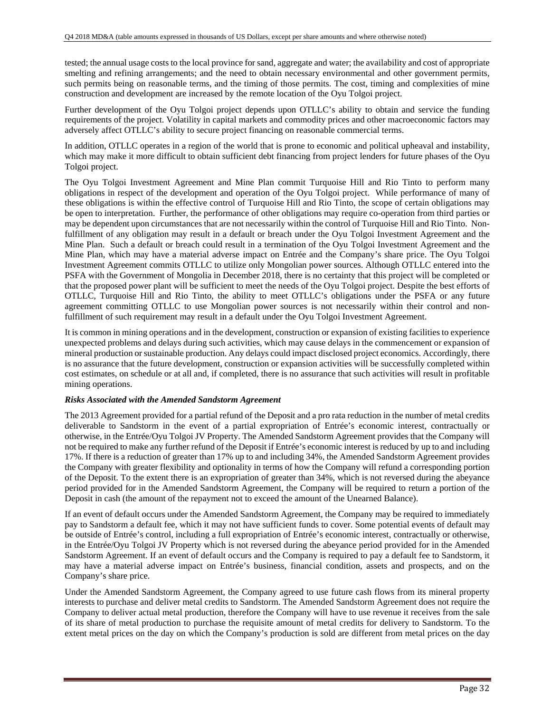tested; the annual usage costs to the local province for sand, aggregate and water; the availability and cost of appropriate smelting and refining arrangements; and the need to obtain necessary environmental and other government permits, such permits being on reasonable terms, and the timing of those permits. The cost, timing and complexities of mine construction and development are increased by the remote location of the Oyu Tolgoi project.

Further development of the Oyu Tolgoi project depends upon OTLLC's ability to obtain and service the funding requirements of the project. Volatility in capital markets and commodity prices and other macroeconomic factors may adversely affect OTLLC's ability to secure project financing on reasonable commercial terms.

In addition, OTLLC operates in a region of the world that is prone to economic and political upheaval and instability, which may make it more difficult to obtain sufficient debt financing from project lenders for future phases of the Oyu Tolgoi project.

The Oyu Tolgoi Investment Agreement and Mine Plan commit Turquoise Hill and Rio Tinto to perform many obligations in respect of the development and operation of the Oyu Tolgoi project. While performance of many of these obligations is within the effective control of Turquoise Hill and Rio Tinto, the scope of certain obligations may be open to interpretation. Further, the performance of other obligations may require co-operation from third parties or may be dependent upon circumstances that are not necessarily within the control of Turquoise Hill and Rio Tinto. Nonfulfillment of any obligation may result in a default or breach under the Oyu Tolgoi Investment Agreement and the Mine Plan. Such a default or breach could result in a termination of the Oyu Tolgoi Investment Agreement and the Mine Plan, which may have a material adverse impact on Entrée and the Company's share price. The Oyu Tolgoi Investment Agreement commits OTLLC to utilize only Mongolian power sources. Although OTLLC entered into the PSFA with the Government of Mongolia in December 2018, there is no certainty that this project will be completed or that the proposed power plant will be sufficient to meet the needs of the Oyu Tolgoi project. Despite the best efforts of OTLLC, Turquoise Hill and Rio Tinto, the ability to meet OTLLC's obligations under the PSFA or any future agreement committing OTLLC to use Mongolian power sources is not necessarily within their control and nonfulfillment of such requirement may result in a default under the Oyu Tolgoi Investment Agreement.

It is common in mining operations and in the development, construction or expansion of existing facilities to experience unexpected problems and delays during such activities, which may cause delays in the commencement or expansion of mineral production or sustainable production. Any delays could impact disclosed project economics. Accordingly, there is no assurance that the future development, construction or expansion activities will be successfully completed within cost estimates, on schedule or at all and, if completed, there is no assurance that such activities will result in profitable mining operations.

## *Risks Associated with the Amended Sandstorm Agreement*

The 2013 Agreement provided for a partial refund of the Deposit and a pro rata reduction in the number of metal credits deliverable to Sandstorm in the event of a partial expropriation of Entrée's economic interest, contractually or otherwise, in the Entrée/Oyu Tolgoi JV Property. The Amended Sandstorm Agreement provides that the Company will not be required to make any further refund of the Deposit if Entrée's economic interest is reduced by up to and including 17%. If there is a reduction of greater than 17% up to and including 34%, the Amended Sandstorm Agreement provides the Company with greater flexibility and optionality in terms of how the Company will refund a corresponding portion of the Deposit. To the extent there is an expropriation of greater than 34%, which is not reversed during the abeyance period provided for in the Amended Sandstorm Agreement, the Company will be required to return a portion of the Deposit in cash (the amount of the repayment not to exceed the amount of the Unearned Balance).

If an event of default occurs under the Amended Sandstorm Agreement, the Company may be required to immediately pay to Sandstorm a default fee, which it may not have sufficient funds to cover. Some potential events of default may be outside of Entrée's control, including a full expropriation of Entrée's economic interest, contractually or otherwise, in the Entrée/Oyu Tolgoi JV Property which is not reversed during the abeyance period provided for in the Amended Sandstorm Agreement. If an event of default occurs and the Company is required to pay a default fee to Sandstorm, it may have a material adverse impact on Entrée's business, financial condition, assets and prospects, and on the Company's share price.

Under the Amended Sandstorm Agreement, the Company agreed to use future cash flows from its mineral property interests to purchase and deliver metal credits to Sandstorm. The Amended Sandstorm Agreement does not require the Company to deliver actual metal production, therefore the Company will have to use revenue it receives from the sale of its share of metal production to purchase the requisite amount of metal credits for delivery to Sandstorm. To the extent metal prices on the day on which the Company's production is sold are different from metal prices on the day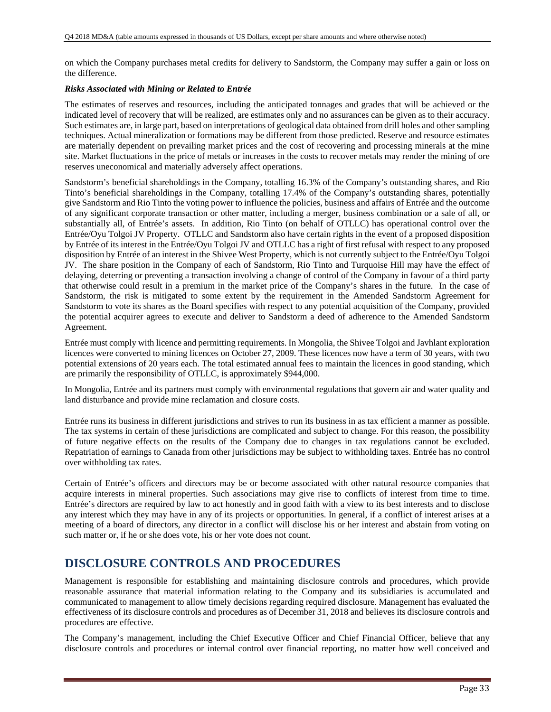on which the Company purchases metal credits for delivery to Sandstorm, the Company may suffer a gain or loss on the difference.

### *Risks Associated with Mining or Related to Entrée*

The estimates of reserves and resources, including the anticipated tonnages and grades that will be achieved or the indicated level of recovery that will be realized, are estimates only and no assurances can be given as to their accuracy. Such estimates are, in large part, based on interpretations of geological data obtained from drill holes and other sampling techniques. Actual mineralization or formations may be different from those predicted. Reserve and resource estimates are materially dependent on prevailing market prices and the cost of recovering and processing minerals at the mine site. Market fluctuations in the price of metals or increases in the costs to recover metals may render the mining of ore reserves uneconomical and materially adversely affect operations.

Sandstorm's beneficial shareholdings in the Company, totalling 16.3% of the Company's outstanding shares, and Rio Tinto's beneficial shareholdings in the Company, totalling 17.4% of the Company's outstanding shares, potentially give Sandstorm and Rio Tinto the voting power to influence the policies, business and affairs of Entrée and the outcome of any significant corporate transaction or other matter, including a merger, business combination or a sale of all, or substantially all, of Entrée's assets. In addition, Rio Tinto (on behalf of OTLLC) has operational control over the Entrée/Oyu Tolgoi JV Property. OTLLC and Sandstorm also have certain rights in the event of a proposed disposition by Entrée of its interest in the Entrée/Oyu Tolgoi JV and OTLLC has a right of first refusal with respect to any proposed disposition by Entrée of an interest in the Shivee West Property, which is not currently subject to the Entrée/Oyu Tolgoi JV. The share position in the Company of each of Sandstorm, Rio Tinto and Turquoise Hill may have the effect of delaying, deterring or preventing a transaction involving a change of control of the Company in favour of a third party that otherwise could result in a premium in the market price of the Company's shares in the future. In the case of Sandstorm, the risk is mitigated to some extent by the requirement in the Amended Sandstorm Agreement for Sandstorm to vote its shares as the Board specifies with respect to any potential acquisition of the Company, provided the potential acquirer agrees to execute and deliver to Sandstorm a deed of adherence to the Amended Sandstorm Agreement.

Entrée must comply with licence and permitting requirements. In Mongolia, the Shivee Tolgoi and Javhlant exploration licences were converted to mining licences on October 27, 2009. These licences now have a term of 30 years, with two potential extensions of 20 years each. The total estimated annual fees to maintain the licences in good standing, which are primarily the responsibility of OTLLC, is approximately \$944,000.

In Mongolia, Entrée and its partners must comply with environmental regulations that govern air and water quality and land disturbance and provide mine reclamation and closure costs.

Entrée runs its business in different jurisdictions and strives to run its business in as tax efficient a manner as possible. The tax systems in certain of these jurisdictions are complicated and subject to change. For this reason, the possibility of future negative effects on the results of the Company due to changes in tax regulations cannot be excluded. Repatriation of earnings to Canada from other jurisdictions may be subject to withholding taxes. Entrée has no control over withholding tax rates.

Certain of Entrée's officers and directors may be or become associated with other natural resource companies that acquire interests in mineral properties. Such associations may give rise to conflicts of interest from time to time. Entrée's directors are required by law to act honestly and in good faith with a view to its best interests and to disclose any interest which they may have in any of its projects or opportunities. In general, if a conflict of interest arises at a meeting of a board of directors, any director in a conflict will disclose his or her interest and abstain from voting on such matter or, if he or she does vote, his or her vote does not count.

## **DISCLOSURE CONTROLS AND PROCEDURES**

Management is responsible for establishing and maintaining disclosure controls and procedures, which provide reasonable assurance that material information relating to the Company and its subsidiaries is accumulated and communicated to management to allow timely decisions regarding required disclosure. Management has evaluated the effectiveness of its disclosure controls and procedures as of December 31, 2018 and believes its disclosure controls and procedures are effective.

The Company's management, including the Chief Executive Officer and Chief Financial Officer, believe that any disclosure controls and procedures or internal control over financial reporting, no matter how well conceived and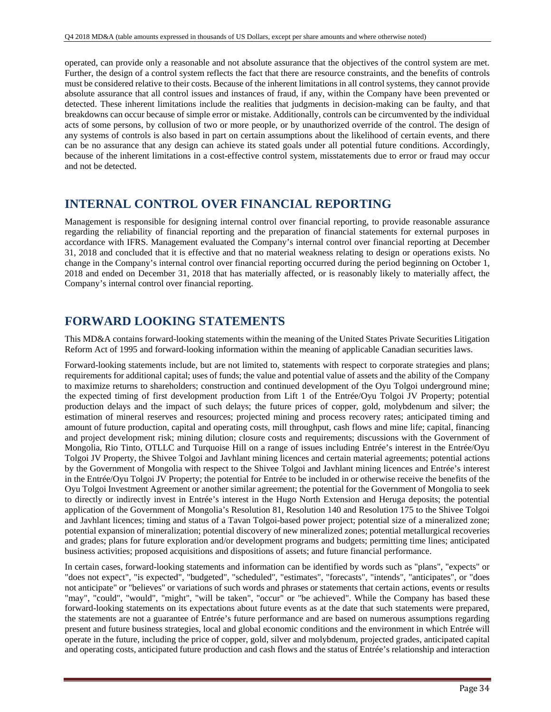operated, can provide only a reasonable and not absolute assurance that the objectives of the control system are met. Further, the design of a control system reflects the fact that there are resource constraints, and the benefits of controls must be considered relative to their costs. Because of the inherent limitations in all control systems, they cannot provide absolute assurance that all control issues and instances of fraud, if any, within the Company have been prevented or detected. These inherent limitations include the realities that judgments in decision-making can be faulty, and that breakdowns can occur because of simple error or mistake. Additionally, controls can be circumvented by the individual acts of some persons, by collusion of two or more people, or by unauthorized override of the control. The design of any systems of controls is also based in part on certain assumptions about the likelihood of certain events, and there can be no assurance that any design can achieve its stated goals under all potential future conditions. Accordingly, because of the inherent limitations in a cost-effective control system, misstatements due to error or fraud may occur and not be detected.

# **INTERNAL CONTROL OVER FINANCIAL REPORTING**

Management is responsible for designing internal control over financial reporting, to provide reasonable assurance regarding the reliability of financial reporting and the preparation of financial statements for external purposes in accordance with IFRS. Management evaluated the Company's internal control over financial reporting at December 31, 2018 and concluded that it is effective and that no material weakness relating to design or operations exists. No change in the Company's internal control over financial reporting occurred during the period beginning on October 1, 2018 and ended on December 31, 2018 that has materially affected, or is reasonably likely to materially affect, the Company's internal control over financial reporting.

## **FORWARD LOOKING STATEMENTS**

This MD&A contains forward-looking statements within the meaning of the United States Private Securities Litigation Reform Act of 1995 and forward-looking information within the meaning of applicable Canadian securities laws.

Forward-looking statements include, but are not limited to, statements with respect to corporate strategies and plans; requirements for additional capital; uses of funds; the value and potential value of assets and the ability of the Company to maximize returns to shareholders; construction and continued development of the Oyu Tolgoi underground mine; the expected timing of first development production from Lift 1 of the Entrée/Oyu Tolgoi JV Property; potential production delays and the impact of such delays; the future prices of copper, gold, molybdenum and silver; the estimation of mineral reserves and resources; projected mining and process recovery rates; anticipated timing and amount of future production, capital and operating costs, mill throughput, cash flows and mine life; capital, financing and project development risk; mining dilution; closure costs and requirements; discussions with the Government of Mongolia, Rio Tinto, OTLLC and Turquoise Hill on a range of issues including Entrée's interest in the Entrée/Oyu Tolgoi JV Property, the Shivee Tolgoi and Javhlant mining licences and certain material agreements; potential actions by the Government of Mongolia with respect to the Shivee Tolgoi and Javhlant mining licences and Entrée's interest in the Entrée/Oyu Tolgoi JV Property; the potential for Entrée to be included in or otherwise receive the benefits of the Oyu Tolgoi Investment Agreement or another similar agreement; the potential for the Government of Mongolia to seek to directly or indirectly invest in Entrée's interest in the Hugo North Extension and Heruga deposits; the potential application of the Government of Mongolia's Resolution 81, Resolution 140 and Resolution 175 to the Shivee Tolgoi and Javhlant licences; timing and status of a Tavan Tolgoi-based power project; potential size of a mineralized zone; potential expansion of mineralization; potential discovery of new mineralized zones; potential metallurgical recoveries and grades; plans for future exploration and/or development programs and budgets; permitting time lines; anticipated business activities; proposed acquisitions and dispositions of assets; and future financial performance.

In certain cases, forward-looking statements and information can be identified by words such as "plans", "expects" or "does not expect", "is expected", "budgeted", "scheduled", "estimates", "forecasts", "intends", "anticipates", or "does not anticipate" or "believes" or variations of such words and phrases or statements that certain actions, events or results "may", "could", "would", "might", "will be taken", "occur" or "be achieved". While the Company has based these forward-looking statements on its expectations about future events as at the date that such statements were prepared, the statements are not a guarantee of Entrée's future performance and are based on numerous assumptions regarding present and future business strategies, local and global economic conditions and the environment in which Entrée will operate in the future, including the price of copper, gold, silver and molybdenum, projected grades, anticipated capital and operating costs, anticipated future production and cash flows and the status of Entrée's relationship and interaction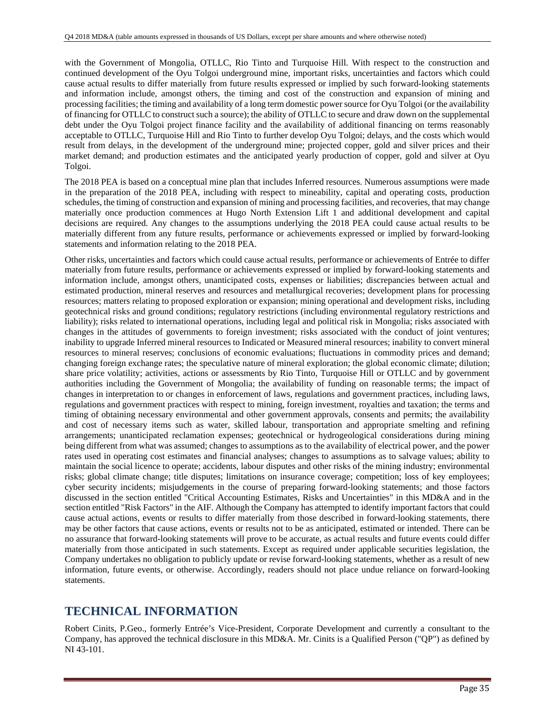with the Government of Mongolia, OTLLC, Rio Tinto and Turquoise Hill. With respect to the construction and continued development of the Oyu Tolgoi underground mine, important risks, uncertainties and factors which could cause actual results to differ materially from future results expressed or implied by such forward-looking statements and information include, amongst others, the timing and cost of the construction and expansion of mining and processing facilities; the timing and availability of a long term domestic power source for Oyu Tolgoi (or the availability of financing for OTLLC to construct such a source); the ability of OTLLC to secure and draw down on the supplemental debt under the Oyu Tolgoi project finance facility and the availability of additional financing on terms reasonably acceptable to OTLLC, Turquoise Hill and Rio Tinto to further develop Oyu Tolgoi; delays, and the costs which would result from delays, in the development of the underground mine; projected copper, gold and silver prices and their market demand; and production estimates and the anticipated yearly production of copper, gold and silver at Oyu Tolgoi.

The 2018 PEA is based on a conceptual mine plan that includes Inferred resources. Numerous assumptions were made in the preparation of the 2018 PEA, including with respect to mineability, capital and operating costs, production schedules, the timing of construction and expansion of mining and processing facilities, and recoveries, that may change materially once production commences at Hugo North Extension Lift 1 and additional development and capital decisions are required. Any changes to the assumptions underlying the 2018 PEA could cause actual results to be materially different from any future results, performance or achievements expressed or implied by forward-looking statements and information relating to the 2018 PEA.

Other risks, uncertainties and factors which could cause actual results, performance or achievements of Entrée to differ materially from future results, performance or achievements expressed or implied by forward-looking statements and information include, amongst others, unanticipated costs, expenses or liabilities; discrepancies between actual and estimated production, mineral reserves and resources and metallurgical recoveries; development plans for processing resources; matters relating to proposed exploration or expansion; mining operational and development risks, including geotechnical risks and ground conditions; regulatory restrictions (including environmental regulatory restrictions and liability); risks related to international operations, including legal and political risk in Mongolia; risks associated with changes in the attitudes of governments to foreign investment; risks associated with the conduct of joint ventures; inability to upgrade Inferred mineral resources to Indicated or Measured mineral resources; inability to convert mineral resources to mineral reserves; conclusions of economic evaluations; fluctuations in commodity prices and demand; changing foreign exchange rates; the speculative nature of mineral exploration; the global economic climate; dilution; share price volatility; activities, actions or assessments by Rio Tinto, Turquoise Hill or OTLLC and by government authorities including the Government of Mongolia; the availability of funding on reasonable terms; the impact of changes in interpretation to or changes in enforcement of laws, regulations and government practices, including laws, regulations and government practices with respect to mining, foreign investment, royalties and taxation; the terms and timing of obtaining necessary environmental and other government approvals, consents and permits; the availability and cost of necessary items such as water, skilled labour, transportation and appropriate smelting and refining arrangements; unanticipated reclamation expenses; geotechnical or hydrogeological considerations during mining being different from what was assumed; changes to assumptions as to the availability of electrical power, and the power rates used in operating cost estimates and financial analyses; changes to assumptions as to salvage values; ability to maintain the social licence to operate; accidents, labour disputes and other risks of the mining industry; environmental risks; global climate change; title disputes; limitations on insurance coverage; competition; loss of key employees; cyber security incidents; misjudgements in the course of preparing forward-looking statements; and those factors discussed in the section entitled "Critical Accounting Estimates, Risks and Uncertainties" in this MD&A and in the section entitled "Risk Factors" in the AIF. Although the Company has attempted to identify important factors that could cause actual actions, events or results to differ materially from those described in forward-looking statements, there may be other factors that cause actions, events or results not to be as anticipated, estimated or intended. There can be no assurance that forward-looking statements will prove to be accurate, as actual results and future events could differ materially from those anticipated in such statements. Except as required under applicable securities legislation, the Company undertakes no obligation to publicly update or revise forward-looking statements, whether as a result of new information, future events, or otherwise. Accordingly, readers should not place undue reliance on forward-looking statements.

## **TECHNICAL INFORMATION**

Robert Cinits, P.Geo., formerly Entrée's Vice-President, Corporate Development and currently a consultant to the Company, has approved the technical disclosure in this MD&A. Mr. Cinits is a Qualified Person ("QP") as defined by NI 43-101.